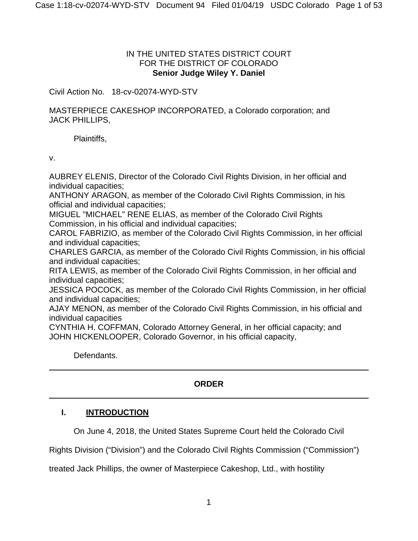## IN THE UNITED STATES DISTRICT COURT FOR THE DISTRICT OF COLORADO **Senior Judge Wiley Y. Daniel**

Civil Action No. 18-cv-02074-WYD-STV

MASTERPIECE CAKESHOP INCORPORATED, a Colorado corporation; and JACK PHILLIPS,

Plaintiffs,

v.

AUBREY ELENIS, Director of the Colorado Civil Rights Division, in her official and individual capacities;

ANTHONY ARAGON, as member of the Colorado Civil Rights Commission, in his official and individual capacities;

MIGUEL "MICHAEL" RENE ELIAS, as member of the Colorado Civil Rights Commission, in his official and individual capacities;

CAROL FABRIZIO, as member of the Colorado Civil Rights Commission, in her official and individual capacities;

CHARLES GARCIA, as member of the Colorado Civil Rights Commission, in his official and individual capacities;

RITA LEWIS, as member of the Colorado Civil Rights Commission, in her official and individual capacities;

JESSICA POCOCK, as member of the Colorado Civil Rights Commission, in her official and individual capacities;

AJAY MENON, as member of the Colorado Civil Rights Commission, in his official and individual capacities

CYNTHIA H. COFFMAN, Colorado Attorney General, in her official capacity; and JOHN HICKENLOOPER, Colorado Governor, in his official capacity,

Defendants.

# **ORDER**

# **I. INTRODUCTION**

On June 4, 2018, the United States Supreme Court held the Colorado Civil

Rights Division ("Division") and the Colorado Civil Rights Commission ("Commission")

treated Jack Phillips, the owner of Masterpiece Cakeshop, Ltd., with hostility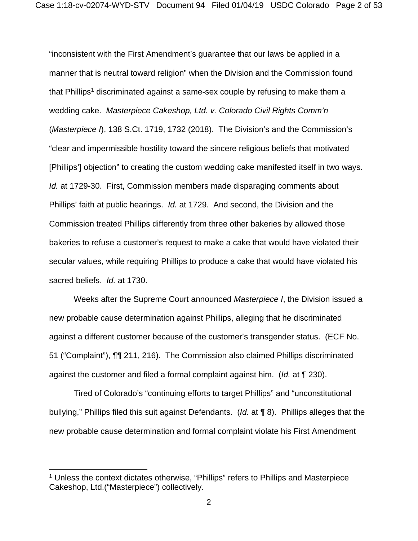"inconsistent with the First Amendment's guarantee that our laws be applied in a manner that is neutral toward religion" when the Division and the Commission found that Phillips<sup>1</sup> discriminated against a same-sex couple by refusing to make them a wedding cake. *Masterpiece Cakeshop, Ltd. v. Colorado Civil Rights Comm'n*  (*Masterpiece I*), 138 S.Ct. 1719, 1732 (2018). The Division's and the Commission's "clear and impermissible hostility toward the sincere religious beliefs that motivated [Phillips'] objection" to creating the custom wedding cake manifested itself in two ways. *Id.* at 1729-30. First, Commission members made disparaging comments about Phillips' faith at public hearings. *Id.* at 1729. And second, the Division and the Commission treated Phillips differently from three other bakeries by allowed those bakeries to refuse a customer's request to make a cake that would have violated their secular values, while requiring Phillips to produce a cake that would have violated his sacred beliefs. *Id.* at 1730.

Weeks after the Supreme Court announced *Masterpiece I*, the Division issued a new probable cause determination against Phillips, alleging that he discriminated against a different customer because of the customer's transgender status. (ECF No. 51 ("Complaint"), ¶¶ 211, 216). The Commission also claimed Phillips discriminated against the customer and filed a formal complaint against him. (*Id.* at ¶ 230).

Tired of Colorado's "continuing efforts to target Phillips" and "unconstitutional bullying," Phillips filed this suit against Defendants. (*Id.* at ¶ 8). Phillips alleges that the new probable cause determination and formal complaint violate his First Amendment

 $\overline{a}$ 

<sup>&</sup>lt;sup>1</sup> Unless the context dictates otherwise, "Phillips" refers to Phillips and Masterpiece Cakeshop, Ltd.("Masterpiece") collectively.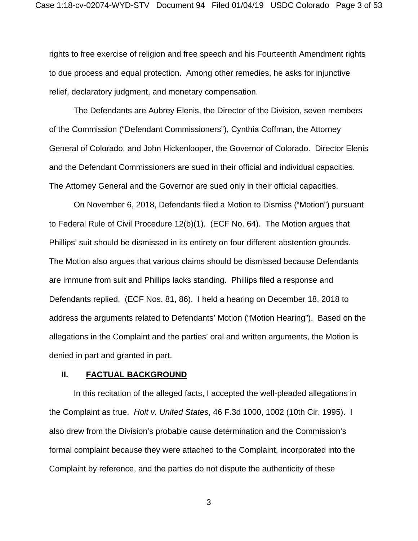rights to free exercise of religion and free speech and his Fourteenth Amendment rights to due process and equal protection. Among other remedies, he asks for injunctive relief, declaratory judgment, and monetary compensation.

The Defendants are Aubrey Elenis, the Director of the Division, seven members of the Commission ("Defendant Commissioners"), Cynthia Coffman, the Attorney General of Colorado, and John Hickenlooper, the Governor of Colorado. Director Elenis and the Defendant Commissioners are sued in their official and individual capacities. The Attorney General and the Governor are sued only in their official capacities.

On November 6, 2018, Defendants filed a Motion to Dismiss ("Motion") pursuant to Federal Rule of Civil Procedure 12(b)(1). (ECF No. 64). The Motion argues that Phillips' suit should be dismissed in its entirety on four different abstention grounds. The Motion also argues that various claims should be dismissed because Defendants are immune from suit and Phillips lacks standing. Phillips filed a response and Defendants replied. (ECF Nos. 81, 86). I held a hearing on December 18, 2018 to address the arguments related to Defendants' Motion ("Motion Hearing"). Based on the allegations in the Complaint and the parties' oral and written arguments, the Motion is denied in part and granted in part.

#### **II. FACTUAL BACKGROUND**

In this recitation of the alleged facts, I accepted the well-pleaded allegations in the Complaint as true. *Holt v. United States*, 46 F.3d 1000, 1002 (10th Cir. 1995). I also drew from the Division's probable cause determination and the Commission's formal complaint because they were attached to the Complaint, incorporated into the Complaint by reference, and the parties do not dispute the authenticity of these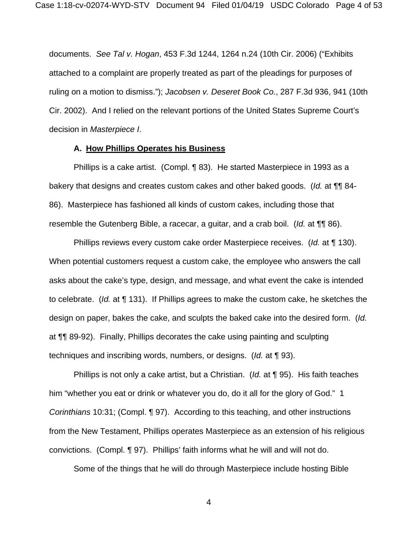documents. *See Tal v. Hogan*, 453 F.3d 1244, 1264 n.24 (10th Cir. 2006) ("Exhibits attached to a complaint are properly treated as part of the pleadings for purposes of ruling on a motion to dismiss."); *Jacobsen v. Deseret Book Co.*, 287 F.3d 936, 941 (10th Cir. 2002). And I relied on the relevant portions of the United States Supreme Court's decision in *Masterpiece I*.

#### **A. How Phillips Operates his Business**

Phillips is a cake artist. (Compl. ¶ 83). He started Masterpiece in 1993 as a bakery that designs and creates custom cakes and other baked goods. (*Id.* at ¶¶ 84- 86). Masterpiece has fashioned all kinds of custom cakes, including those that resemble the Gutenberg Bible, a racecar, a guitar, and a crab boil. (*Id.* at ¶¶ 86).

Phillips reviews every custom cake order Masterpiece receives. (*Id.* at ¶ 130). When potential customers request a custom cake, the employee who answers the call asks about the cake's type, design, and message, and what event the cake is intended to celebrate. (*Id.* at ¶ 131). If Phillips agrees to make the custom cake, he sketches the design on paper, bakes the cake, and sculpts the baked cake into the desired form. (*Id.* at ¶¶ 89-92). Finally, Phillips decorates the cake using painting and sculpting techniques and inscribing words, numbers, or designs. (*Id.* at ¶ 93).

Phillips is not only a cake artist, but a Christian. (*Id.* at ¶ 95). His faith teaches him "whether you eat or drink or whatever you do, do it all for the glory of God." 1 *Corinthians* 10:31; (Compl. ¶ 97). According to this teaching, and other instructions from the New Testament, Phillips operates Masterpiece as an extension of his religious convictions. (Compl. ¶ 97). Phillips' faith informs what he will and will not do.

Some of the things that he will do through Masterpiece include hosting Bible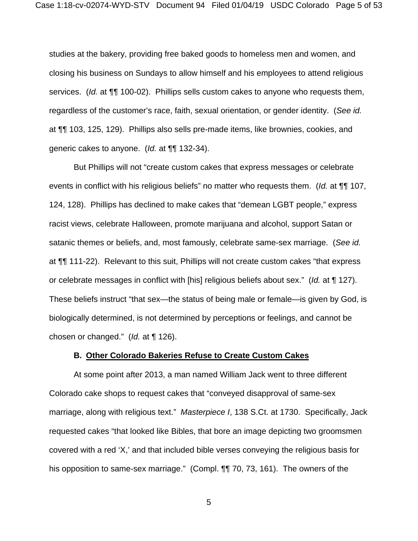studies at the bakery, providing free baked goods to homeless men and women, and closing his business on Sundays to allow himself and his employees to attend religious services. (*Id.* at ¶¶ 100-02). Phillips sells custom cakes to anyone who requests them, regardless of the customer's race, faith, sexual orientation, or gender identity. (*See id.* at ¶¶ 103, 125, 129). Phillips also sells pre-made items, like brownies, cookies, and generic cakes to anyone. (*Id.* at ¶¶ 132-34).

But Phillips will not "create custom cakes that express messages or celebrate events in conflict with his religious beliefs" no matter who requests them. (*Id.* at ¶¶ 107, 124, 128). Phillips has declined to make cakes that "demean LGBT people," express racist views, celebrate Halloween, promote marijuana and alcohol, support Satan or satanic themes or beliefs, and, most famously, celebrate same-sex marriage. (*See id.* at ¶¶ 111-22). Relevant to this suit, Phillips will not create custom cakes "that express or celebrate messages in conflict with [his] religious beliefs about sex." (*Id.* at ¶ 127). These beliefs instruct "that sex—the status of being male or female—is given by God, is biologically determined, is not determined by perceptions or feelings, and cannot be chosen or changed." (*Id.* at ¶ 126).

#### **B. Other Colorado Bakeries Refuse to Create Custom Cakes**

At some point after 2013, a man named William Jack went to three different Colorado cake shops to request cakes that "conveyed disapproval of same-sex marriage, along with religious text." *Masterpiece I*, 138 S.Ct. at 1730. Specifically, Jack requested cakes "that looked like Bibles, that bore an image depicting two groomsmen covered with a red 'X,' and that included bible verses conveying the religious basis for his opposition to same-sex marriage." (Compl. ¶¶ 70, 73, 161). The owners of the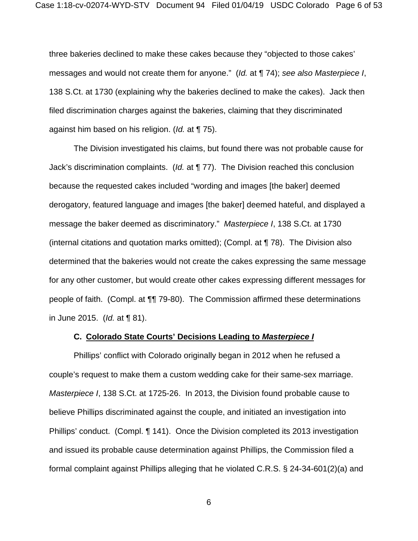three bakeries declined to make these cakes because they "objected to those cakes' messages and would not create them for anyone." (*Id.* at ¶ 74); *see also Masterpiece I*, 138 S.Ct. at 1730 (explaining why the bakeries declined to make the cakes). Jack then filed discrimination charges against the bakeries, claiming that they discriminated against him based on his religion. (*Id.* at ¶ 75).

The Division investigated his claims, but found there was not probable cause for Jack's discrimination complaints. (*Id.* at ¶ 77). The Division reached this conclusion because the requested cakes included "wording and images [the baker] deemed derogatory, featured language and images [the baker] deemed hateful, and displayed a message the baker deemed as discriminatory." *Masterpiece I*, 138 S.Ct. at 1730 (internal citations and quotation marks omitted); (Compl. at ¶ 78). The Division also determined that the bakeries would not create the cakes expressing the same message for any other customer, but would create other cakes expressing different messages for people of faith. (Compl. at ¶¶ 79-80). The Commission affirmed these determinations in June 2015. (*Id.* at ¶ 81).

#### **C. Colorado State Courts' Decisions Leading to** *Masterpiece I*

Phillips' conflict with Colorado originally began in 2012 when he refused a couple's request to make them a custom wedding cake for their same-sex marriage. *Masterpiece I*, 138 S.Ct. at 1725-26. In 2013, the Division found probable cause to believe Phillips discriminated against the couple, and initiated an investigation into Phillips' conduct. (Compl. ¶ 141). Once the Division completed its 2013 investigation and issued its probable cause determination against Phillips, the Commission filed a formal complaint against Phillips alleging that he violated C.R.S. § 24-34-601(2)(a) and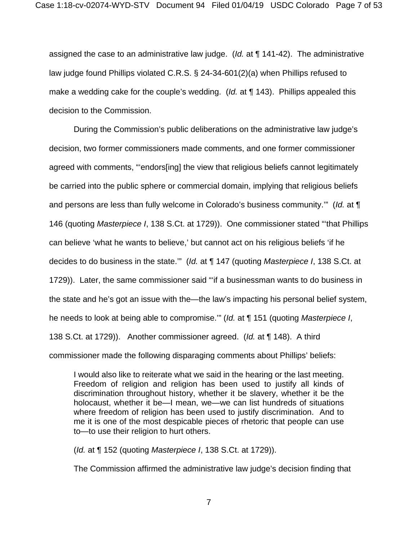assigned the case to an administrative law judge. (*Id.* at ¶ 141-42). The administrative law judge found Phillips violated C.R.S. § 24-34-601(2)(a) when Phillips refused to make a wedding cake for the couple's wedding. (*Id.* at ¶ 143). Phillips appealed this decision to the Commission.

During the Commission's public deliberations on the administrative law judge's decision, two former commissioners made comments, and one former commissioner agreed with comments, "'endors[ing] the view that religious beliefs cannot legitimately be carried into the public sphere or commercial domain, implying that religious beliefs and persons are less than fully welcome in Colorado's business community.'" (*Id.* at ¶ 146 (quoting *Masterpiece I*, 138 S.Ct. at 1729)). One commissioner stated "'that Phillips can believe 'what he wants to believe,' but cannot act on his religious beliefs 'if he decides to do business in the state.'" (*Id.* at ¶ 147 (quoting *Masterpiece I*, 138 S.Ct. at 1729)). Later, the same commissioner said "'if a businessman wants to do business in the state and he's got an issue with the—the law's impacting his personal belief system, he needs to look at being able to compromise.'" (*Id.* at ¶ 151 (quoting *Masterpiece I*, 138 S.Ct. at 1729)). Another commissioner agreed. (*Id.* at ¶ 148). A third commissioner made the following disparaging comments about Phillips' beliefs:

I would also like to reiterate what we said in the hearing or the last meeting. Freedom of religion and religion has been used to justify all kinds of discrimination throughout history, whether it be slavery, whether it be the holocaust, whether it be—I mean, we—we can list hundreds of situations where freedom of religion has been used to justify discrimination. And to me it is one of the most despicable pieces of rhetoric that people can use to—to use their religion to hurt others.

(*Id.* at ¶ 152 (quoting *Masterpiece I*, 138 S.Ct. at 1729)).

The Commission affirmed the administrative law judge's decision finding that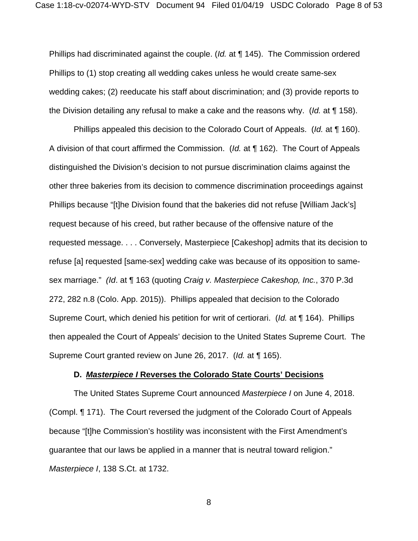Phillips had discriminated against the couple. (*Id.* at ¶ 145). The Commission ordered Phillips to (1) stop creating all wedding cakes unless he would create same-sex wedding cakes; (2) reeducate his staff about discrimination; and (3) provide reports to the Division detailing any refusal to make a cake and the reasons why. (*Id.* at ¶ 158).

Phillips appealed this decision to the Colorado Court of Appeals. (*Id.* at ¶ 160). A division of that court affirmed the Commission. (*Id.* at ¶ 162). The Court of Appeals distinguished the Division's decision to not pursue discrimination claims against the other three bakeries from its decision to commence discrimination proceedings against Phillips because "[t]he Division found that the bakeries did not refuse [William Jack's] request because of his creed, but rather because of the offensive nature of the requested message. . . . Conversely, Masterpiece [Cakeshop] admits that its decision to refuse [a] requested [same-sex] wedding cake was because of its opposition to samesex marriage." *(Id*. at ¶ 163 (quoting *Craig v. Masterpiece Cakeshop, Inc.*, 370 P.3d 272, 282 n.8 (Colo. App. 2015)). Phillips appealed that decision to the Colorado Supreme Court, which denied his petition for writ of certiorari. (*Id.* at ¶ 164). Phillips then appealed the Court of Appeals' decision to the United States Supreme Court. The Supreme Court granted review on June 26, 2017. (*Id.* at ¶ 165).

#### **D.** *Masterpiece I* **Reverses the Colorado State Courts' Decisions**

The United States Supreme Court announced *Masterpiece I* on June 4, 2018. (Compl. ¶ 171). The Court reversed the judgment of the Colorado Court of Appeals because "[t]he Commission's hostility was inconsistent with the First Amendment's guarantee that our laws be applied in a manner that is neutral toward religion." *Masterpiece I*, 138 S.Ct. at 1732.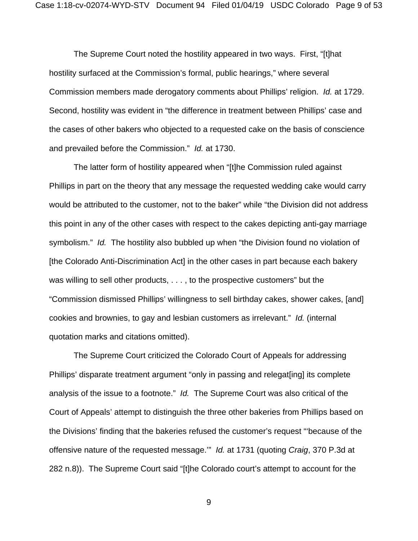The Supreme Court noted the hostility appeared in two ways. First, "[t]hat hostility surfaced at the Commission's formal, public hearings," where several Commission members made derogatory comments about Phillips' religion. *Id.* at 1729. Second, hostility was evident in "the difference in treatment between Phillips' case and the cases of other bakers who objected to a requested cake on the basis of conscience and prevailed before the Commission." *Id.* at 1730.

The latter form of hostility appeared when "[t]he Commission ruled against Phillips in part on the theory that any message the requested wedding cake would carry would be attributed to the customer, not to the baker" while "the Division did not address this point in any of the other cases with respect to the cakes depicting anti-gay marriage symbolism." *Id.* The hostility also bubbled up when "the Division found no violation of [the Colorado Anti-Discrimination Act] in the other cases in part because each bakery was willing to sell other products, . . . , to the prospective customers" but the "Commission dismissed Phillips' willingness to sell birthday cakes, shower cakes, [and] cookies and brownies, to gay and lesbian customers as irrelevant." *Id.* (internal quotation marks and citations omitted).

The Supreme Court criticized the Colorado Court of Appeals for addressing Phillips' disparate treatment argument "only in passing and relegat[ing] its complete analysis of the issue to a footnote." *Id.* The Supreme Court was also critical of the Court of Appeals' attempt to distinguish the three other bakeries from Phillips based on the Divisions' finding that the bakeries refused the customer's request "'because of the offensive nature of the requested message.'" *Id.* at 1731 (quoting *Craig*, 370 P.3d at 282 n.8)). The Supreme Court said "[t]he Colorado court's attempt to account for the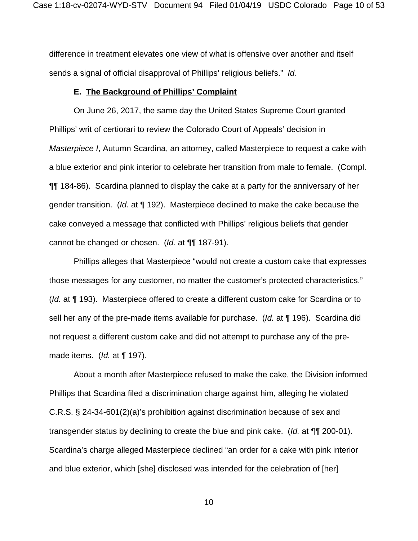difference in treatment elevates one view of what is offensive over another and itself sends a signal of official disapproval of Phillips' religious beliefs." *Id.* 

## **E. The Background of Phillips' Complaint**

On June 26, 2017, the same day the United States Supreme Court granted Phillips' writ of certiorari to review the Colorado Court of Appeals' decision in *Masterpiece I*, Autumn Scardina, an attorney, called Masterpiece to request a cake with a blue exterior and pink interior to celebrate her transition from male to female. (Compl. ¶¶ 184-86). Scardina planned to display the cake at a party for the anniversary of her gender transition. (*Id.* at ¶ 192). Masterpiece declined to make the cake because the cake conveyed a message that conflicted with Phillips' religious beliefs that gender cannot be changed or chosen. (*Id.* at ¶¶ 187-91).

Phillips alleges that Masterpiece "would not create a custom cake that expresses those messages for any customer, no matter the customer's protected characteristics." (*Id.* at ¶ 193). Masterpiece offered to create a different custom cake for Scardina or to sell her any of the pre-made items available for purchase. (*Id.* at ¶ 196). Scardina did not request a different custom cake and did not attempt to purchase any of the premade items. (*Id.* at ¶ 197).

About a month after Masterpiece refused to make the cake, the Division informed Phillips that Scardina filed a discrimination charge against him, alleging he violated C.R.S. § 24-34-601(2)(a)'s prohibition against discrimination because of sex and transgender status by declining to create the blue and pink cake. (*Id.* at ¶¶ 200-01). Scardina's charge alleged Masterpiece declined "an order for a cake with pink interior and blue exterior, which [she] disclosed was intended for the celebration of [her]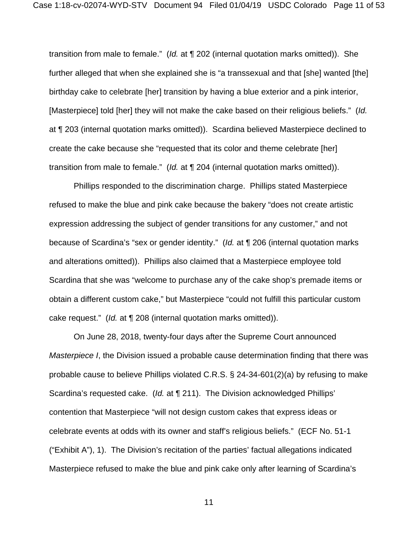transition from male to female." (*Id.* at ¶ 202 (internal quotation marks omitted)). She further alleged that when she explained she is "a transsexual and that [she] wanted [the] birthday cake to celebrate [her] transition by having a blue exterior and a pink interior, [Masterpiece] told [her] they will not make the cake based on their religious beliefs." (*Id.* at ¶ 203 (internal quotation marks omitted)). Scardina believed Masterpiece declined to create the cake because she "requested that its color and theme celebrate [her] transition from male to female." (*Id.* at ¶ 204 (internal quotation marks omitted)).

Phillips responded to the discrimination charge. Phillips stated Masterpiece refused to make the blue and pink cake because the bakery "does not create artistic expression addressing the subject of gender transitions for any customer," and not because of Scardina's "sex or gender identity." (*Id.* at ¶ 206 (internal quotation marks and alterations omitted)). Phillips also claimed that a Masterpiece employee told Scardina that she was "welcome to purchase any of the cake shop's premade items or obtain a different custom cake," but Masterpiece "could not fulfill this particular custom cake request." (*Id.* at ¶ 208 (internal quotation marks omitted)).

On June 28, 2018, twenty-four days after the Supreme Court announced *Masterpiece I*, the Division issued a probable cause determination finding that there was probable cause to believe Phillips violated C.R.S. § 24-34-601(2)(a) by refusing to make Scardina's requested cake. (*Id.* at ¶ 211). The Division acknowledged Phillips' contention that Masterpiece "will not design custom cakes that express ideas or celebrate events at odds with its owner and staff's religious beliefs." (ECF No. 51-1 ("Exhibit A"), 1). The Division's recitation of the parties' factual allegations indicated Masterpiece refused to make the blue and pink cake only after learning of Scardina's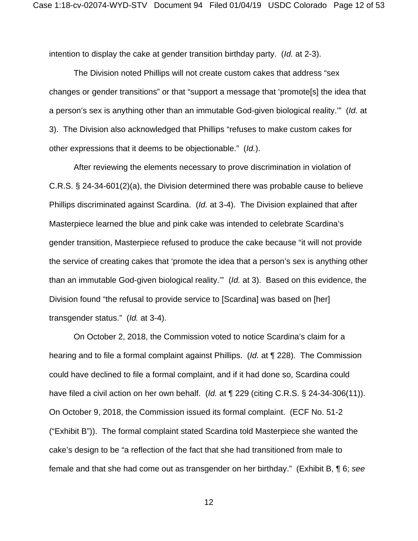intention to display the cake at gender transition birthday party. (*Id.* at 2-3).

The Division noted Phillips will not create custom cakes that address "sex changes or gender transitions" or that "support a message that 'promote[s] the idea that a person's sex is anything other than an immutable God-given biological reality.'" (*Id.* at 3). The Division also acknowledged that Phillips "refuses to make custom cakes for other expressions that it deems to be objectionable." (*Id.*).

After reviewing the elements necessary to prove discrimination in violation of C.R.S. § 24-34-601(2)(a), the Division determined there was probable cause to believe Phillips discriminated against Scardina. (*Id.* at 3-4). The Division explained that after Masterpiece learned the blue and pink cake was intended to celebrate Scardina's gender transition, Masterpiece refused to produce the cake because "it will not provide the service of creating cakes that 'promote the idea that a person's sex is anything other than an immutable God-given biological reality.'" (*Id.* at 3). Based on this evidence, the Division found "the refusal to provide service to [Scardina] was based on [her] transgender status." (*Id.* at 3-4).

On October 2, 2018, the Commission voted to notice Scardina's claim for a hearing and to file a formal complaint against Phillips. (*Id.* at ¶ 228). The Commission could have declined to file a formal complaint, and if it had done so, Scardina could have filed a civil action on her own behalf. (*Id.* at ¶ 229 (citing C.R.S. § 24-34-306(11)). On October 9, 2018, the Commission issued its formal complaint. (ECF No. 51-2 ("Exhibit B")). The formal complaint stated Scardina told Masterpiece she wanted the cake's design to be "a reflection of the fact that she had transitioned from male to female and that she had come out as transgender on her birthday." (Exhibit B, ¶ 6; *see*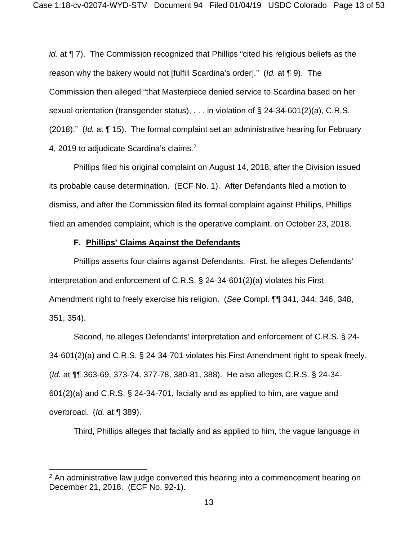*id.* at ¶ 7). The Commission recognized that Phillips "cited his religious beliefs as the reason why the bakery would not [fulfill Scardina's order]." (*Id.* at ¶ 9). The Commission then alleged "that Masterpiece denied service to Scardina based on her sexual orientation (transgender status), . . . in violation of § 24-34-601(2)(a), C.R.S. (2018)." (*Id.* at ¶ 15). The formal complaint set an administrative hearing for February 4, 2019 to adjudicate Scardina's claims.<sup>2</sup>

Phillips filed his original complaint on August 14, 2018, after the Division issued its probable cause determination. (ECF No. 1). After Defendants filed a motion to dismiss, and after the Commission filed its formal complaint against Phillips, Phillips filed an amended complaint, which is the operative complaint, on October 23, 2018.

#### **F. Phillips' Claims Against the Defendants**

 $\overline{a}$ 

Phillips asserts four claims against Defendants. First, he alleges Defendants' interpretation and enforcement of C.R.S. § 24-34-601(2)(a) violates his First Amendment right to freely exercise his religion. (*See* Compl. ¶¶ 341, 344, 346, 348, 351, 354).

Second, he alleges Defendants' interpretation and enforcement of C.R.S. § 24- 34-601(2)(a) and C.R.S. § 24-34-701 violates his First Amendment right to speak freely. (*Id.* at ¶¶ 363-69, 373-74, 377-78, 380-81, 388). He also alleges C.R.S. § 24-34- 601(2)(a) and C.R.S. § 24-34-701, facially and as applied to him, are vague and overbroad. (*Id.* at ¶ 389).

Third, Phillips alleges that facially and as applied to him, the vague language in

<sup>&</sup>lt;sup>2</sup> An administrative law judge converted this hearing into a commencement hearing on December 21, 2018. (ECF No. 92-1).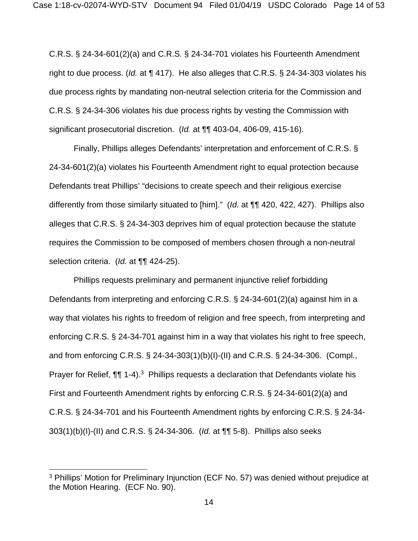C.R.S. § 24-34-601(2)(a) and C.R.S. § 24-34-701 violates his Fourteenth Amendment right to due process. (*Id.* at ¶ 417). He also alleges that C.R.S. § 24-34-303 violates his due process rights by mandating non-neutral selection criteria for the Commission and C.R.S. § 24-34-306 violates his due process rights by vesting the Commission with significant prosecutorial discretion. (*Id.* at ¶¶ 403-04, 406-09, 415-16).

Finally, Phillips alleges Defendants' interpretation and enforcement of C.R.S. § 24-34-601(2)(a) violates his Fourteenth Amendment right to equal protection because Defendants treat Phillips' "decisions to create speech and their religious exercise differently from those similarly situated to [him]." (*Id.* at ¶¶ 420, 422, 427). Phillips also alleges that C.R.S. § 24-34-303 deprives him of equal protection because the statute requires the Commission to be composed of members chosen through a non-neutral selection criteria. (*Id.* at ¶¶ 424-25).

Phillips requests preliminary and permanent injunctive relief forbidding Defendants from interpreting and enforcing C.R.S. § 24-34-601(2)(a) against him in a way that violates his rights to freedom of religion and free speech, from interpreting and enforcing C.R.S. § 24-34-701 against him in a way that violates his right to free speech, and from enforcing C.R.S. § 24-34-303(1)(b)(I)-(II) and C.R.S. § 24-34-306. (Compl., Prayer for Relief,  $\P\P$  1-4).<sup>3</sup> Phillips requests a declaration that Defendants violate his First and Fourteenth Amendment rights by enforcing C.R.S. § 24-34-601(2)(a) and C.R.S. § 24-34-701 and his Fourteenth Amendment rights by enforcing C.R.S. § 24-34- 303(1)(b)(I)-(II) and C.R.S. § 24-34-306. (*Id.* at ¶¶ 5-8). Phillips also seeks

 $\overline{a}$ 

<sup>&</sup>lt;sup>3</sup> Phillips' Motion for Preliminary Injunction (ECF No. 57) was denied without prejudice at the Motion Hearing. (ECF No. 90).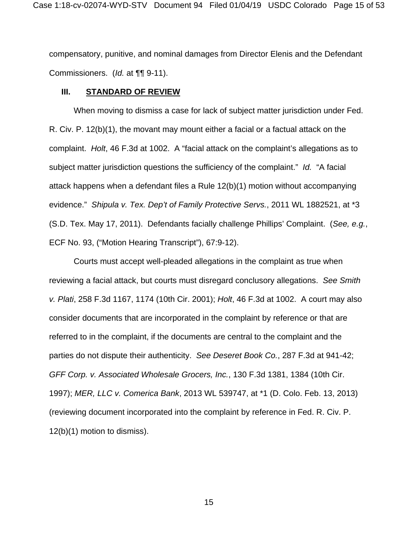compensatory, punitive, and nominal damages from Director Elenis and the Defendant Commissioners. (*Id.* at ¶¶ 9-11).

#### **III. STANDARD OF REVIEW**

When moving to dismiss a case for lack of subject matter jurisdiction under Fed. R. Civ. P. 12(b)(1), the movant may mount either a facial or a factual attack on the complaint. *Holt*, 46 F.3d at 1002. A "facial attack on the complaint's allegations as to subject matter jurisdiction questions the sufficiency of the complaint." *Id.* "A facial attack happens when a defendant files a Rule 12(b)(1) motion without accompanying evidence." *Shipula v. Tex. Dep't of Family Protective Servs.*, 2011 WL 1882521, at \*3 (S.D. Tex. May 17, 2011). Defendants facially challenge Phillips' Complaint. (*See, e.g.*, ECF No. 93, ("Motion Hearing Transcript"), 67:9-12).

Courts must accept well-pleaded allegations in the complaint as true when reviewing a facial attack, but courts must disregard conclusory allegations. *See Smith v. Plati*, 258 F.3d 1167, 1174 (10th Cir. 2001); *Holt*, 46 F.3d at 1002. A court may also consider documents that are incorporated in the complaint by reference or that are referred to in the complaint, if the documents are central to the complaint and the parties do not dispute their authenticity. *See Deseret Book Co.*, 287 F.3d at 941-42; *GFF Corp. v. Associated Wholesale Grocers, Inc.*, 130 F.3d 1381, 1384 (10th Cir. 1997); *MER, LLC v. Comerica Bank*, 2013 WL 539747, at \*1 (D. Colo. Feb. 13, 2013) (reviewing document incorporated into the complaint by reference in Fed. R. Civ. P. 12(b)(1) motion to dismiss).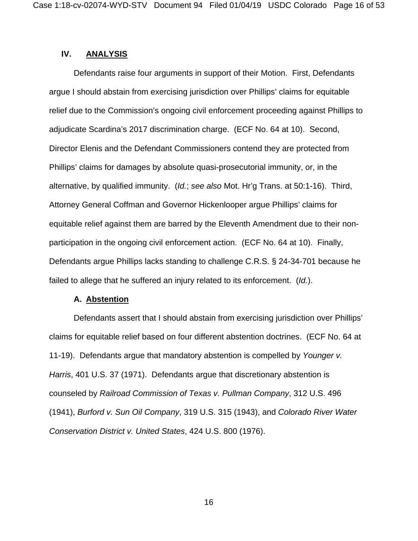## **IV. ANALYSIS**

Defendants raise four arguments in support of their Motion. First, Defendants argue I should abstain from exercising jurisdiction over Phillips' claims for equitable relief due to the Commission's ongoing civil enforcement proceeding against Phillips to adjudicate Scardina's 2017 discrimination charge. (ECF No. 64 at 10). Second, Director Elenis and the Defendant Commissioners contend they are protected from Phillips' claims for damages by absolute quasi-prosecutorial immunity, or, in the alternative, by qualified immunity. (*Id.*; *see also* Mot. Hr'g Trans. at 50:1-16). Third, Attorney General Coffman and Governor Hickenlooper argue Phillips' claims for equitable relief against them are barred by the Eleventh Amendment due to their nonparticipation in the ongoing civil enforcement action. (ECF No. 64 at 10). Finally, Defendants argue Phillips lacks standing to challenge C.R.S. § 24-34-701 because he failed to allege that he suffered an injury related to its enforcement. (*Id.*).

#### **A. Abstention**

Defendants assert that I should abstain from exercising jurisdiction over Phillips' claims for equitable relief based on four different abstention doctrines. (ECF No. 64 at 11-19). Defendants argue that mandatory abstention is compelled by *Younger v. Harris*, 401 U.S. 37 (1971). Defendants argue that discretionary abstention is counseled by *Railroad Commission of Texas v. Pullman Company*, 312 U.S. 496 (1941), *Burford v. Sun Oil Company*, 319 U.S. 315 (1943), and *Colorado River Water Conservation District v. United States*, 424 U.S. 800 (1976).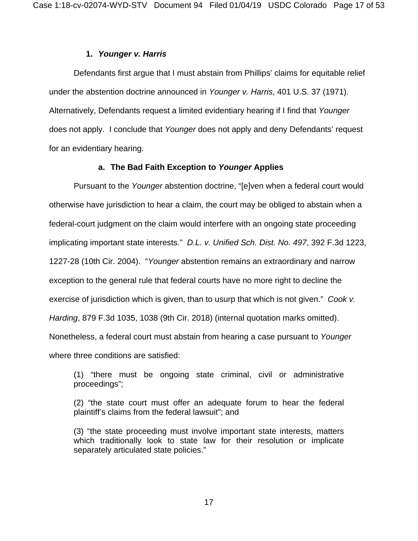## **1.** *Younger v. Harris*

Defendants first argue that I must abstain from Phillips' claims for equitable relief under the abstention doctrine announced in *Younger v. Harris*, 401 U.S. 37 (1971). Alternatively, Defendants request a limited evidentiary hearing if I find that *Younger*  does not apply. I conclude that *Younger* does not apply and deny Defendants' request for an evidentiary hearing.

## **a. The Bad Faith Exception to** *Younger* **Applies**

Pursuant to the *Younger* abstention doctrine, "[e]ven when a federal court would otherwise have jurisdiction to hear a claim, the court may be obliged to abstain when a federal-court judgment on the claim would interfere with an ongoing state proceeding implicating important state interests." *D.L. v. Unified Sch. Dist. No. 497*, 392 F.3d 1223, 1227-28 (10th Cir. 2004). "*Younger* abstention remains an extraordinary and narrow exception to the general rule that federal courts have no more right to decline the exercise of jurisdiction which is given, than to usurp that which is not given." *Cook v. Harding*, 879 F.3d 1035, 1038 (9th Cir. 2018) (internal quotation marks omitted). Nonetheless, a federal court must abstain from hearing a case pursuant to *Younger* where three conditions are satisfied:

(1) "there must be ongoing state criminal, civil or administrative proceedings";

 (2) "the state court must offer an adequate forum to hear the federal plaintiff's claims from the federal lawsuit"; and

 (3) "the state proceeding must involve important state interests, matters which traditionally look to state law for their resolution or implicate separately articulated state policies."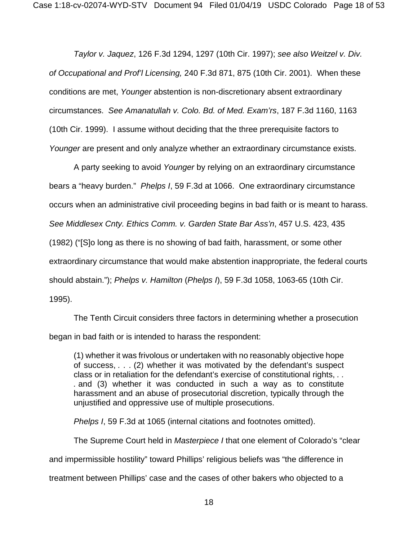*Taylor v. Jaquez*, 126 F.3d 1294, 1297 (10th Cir. 1997); *see also Weitzel v. Div. of Occupational and Prof'l Licensing,* 240 F.3d 871, 875 (10th Cir. 2001). When these conditions are met, *Younger* abstention is non-discretionary absent extraordinary circumstances. *See Amanatullah v. Colo. Bd. of Med. Exam'rs*, 187 F.3d 1160, 1163 (10th Cir. 1999). I assume without deciding that the three prerequisite factors to *Younger* are present and only analyze whether an extraordinary circumstance exists.

A party seeking to avoid *Younger* by relying on an extraordinary circumstance bears a "heavy burden." *Phelps I*, 59 F.3d at 1066. One extraordinary circumstance occurs when an administrative civil proceeding begins in bad faith or is meant to harass. *See Middlesex Cnty. Ethics Comm. v. Garden State Bar Ass'n*, 457 U.S. 423, 435 (1982) ("[S]o long as there is no showing of bad faith, harassment, or some other extraordinary circumstance that would make abstention inappropriate, the federal courts should abstain."); *Phelps v. Hamilton* (*Phelps I*), 59 F.3d 1058, 1063-65 (10th Cir. 1995).

The Tenth Circuit considers three factors in determining whether a prosecution began in bad faith or is intended to harass the respondent:

(1) whether it was frivolous or undertaken with no reasonably objective hope of success, *. . .* (2) whether it was motivated by the defendant's suspect class or in retaliation for the defendant's exercise of constitutional rights, *. . .* and (3) whether it was conducted in such a way as to constitute harassment and an abuse of prosecutorial discretion, typically through the unjustified and oppressive use of multiple prosecutions.

*Phelps I*, 59 F.3d at 1065 (internal citations and footnotes omitted).

The Supreme Court held in *Masterpiece I* that one element of Colorado's "clear and impermissible hostility" toward Phillips' religious beliefs was "the difference in treatment between Phillips' case and the cases of other bakers who objected to a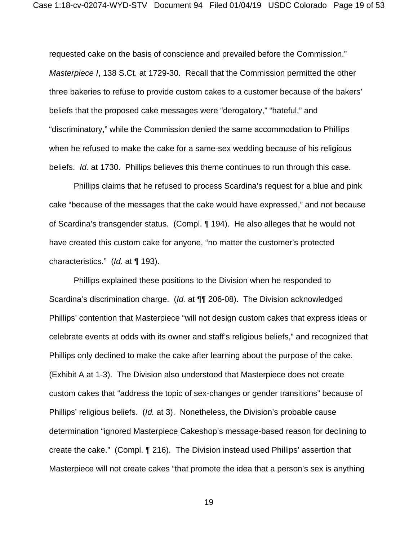requested cake on the basis of conscience and prevailed before the Commission." *Masterpiece I*, 138 S.Ct. at 1729-30. Recall that the Commission permitted the other three bakeries to refuse to provide custom cakes to a customer because of the bakers' beliefs that the proposed cake messages were "derogatory," "hateful," and "discriminatory," while the Commission denied the same accommodation to Phillips when he refused to make the cake for a same-sex wedding because of his religious beliefs. *Id.* at 1730. Phillips believes this theme continues to run through this case.

Phillips claims that he refused to process Scardina's request for a blue and pink cake "because of the messages that the cake would have expressed," and not because of Scardina's transgender status. (Compl. ¶ 194). He also alleges that he would not have created this custom cake for anyone, "no matter the customer's protected characteristics." (*Id.* at ¶ 193).

Phillips explained these positions to the Division when he responded to Scardina's discrimination charge. (*Id.* at ¶¶ 206-08). The Division acknowledged Phillips' contention that Masterpiece "will not design custom cakes that express ideas or celebrate events at odds with its owner and staff's religious beliefs," and recognized that Phillips only declined to make the cake after learning about the purpose of the cake. (Exhibit A at 1-3). The Division also understood that Masterpiece does not create custom cakes that "address the topic of sex-changes or gender transitions" because of Phillips' religious beliefs. (*Id.* at 3). Nonetheless, the Division's probable cause determination "ignored Masterpiece Cakeshop's message-based reason for declining to create the cake." (Compl. ¶ 216). The Division instead used Phillips' assertion that Masterpiece will not create cakes "that promote the idea that a person's sex is anything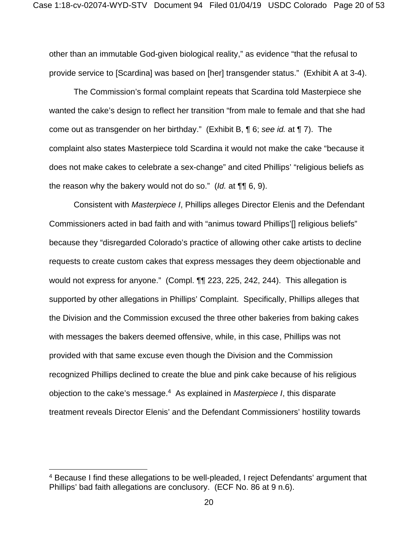other than an immutable God-given biological reality," as evidence "that the refusal to provide service to [Scardina] was based on [her] transgender status." (Exhibit A at 3-4).

The Commission's formal complaint repeats that Scardina told Masterpiece she wanted the cake's design to reflect her transition "from male to female and that she had come out as transgender on her birthday." (Exhibit B, ¶ 6; *see id.* at ¶ 7). The complaint also states Masterpiece told Scardina it would not make the cake "because it does not make cakes to celebrate a sex-change" and cited Phillips' "religious beliefs as the reason why the bakery would not do so." (*Id.* at ¶¶ 6, 9).

Consistent with *Masterpiece I*, Phillips alleges Director Elenis and the Defendant Commissioners acted in bad faith and with "animus toward Phillips'[] religious beliefs" because they "disregarded Colorado's practice of allowing other cake artists to decline requests to create custom cakes that express messages they deem objectionable and would not express for anyone." (Compl. ¶¶ 223, 225, 242, 244). This allegation is supported by other allegations in Phillips' Complaint. Specifically, Phillips alleges that the Division and the Commission excused the three other bakeries from baking cakes with messages the bakers deemed offensive, while, in this case, Phillips was not provided with that same excuse even though the Division and the Commission recognized Phillips declined to create the blue and pink cake because of his religious objection to the cake's message.4 As explained in *Masterpiece I*, this disparate treatment reveals Director Elenis' and the Defendant Commissioners' hostility towards

 $\overline{a}$ 

<sup>4</sup> Because I find these allegations to be well-pleaded, I reject Defendants' argument that Phillips' bad faith allegations are conclusory. (ECF No. 86 at 9 n.6).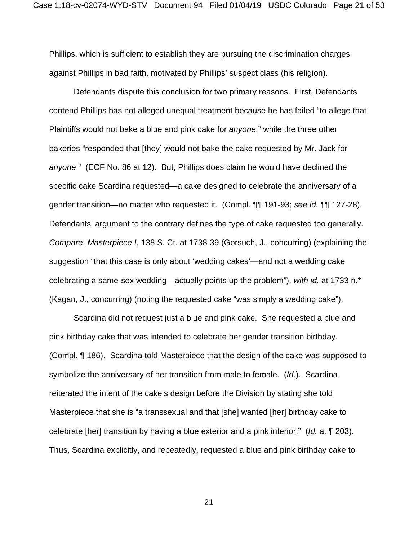Phillips, which is sufficient to establish they are pursuing the discrimination charges against Phillips in bad faith, motivated by Phillips' suspect class (his religion).

Defendants dispute this conclusion for two primary reasons. First, Defendants contend Phillips has not alleged unequal treatment because he has failed "to allege that Plaintiffs would not bake a blue and pink cake for *anyone*," while the three other bakeries "responded that [they] would not bake the cake requested by Mr. Jack for *anyone*." (ECF No. 86 at 12). But, Phillips does claim he would have declined the specific cake Scardina requested—a cake designed to celebrate the anniversary of a gender transition—no matter who requested it. (Compl. ¶¶ 191-93; *see id.* ¶¶ 127-28). Defendants' argument to the contrary defines the type of cake requested too generally. *Compare*, *Masterpiece I*, 138 S. Ct. at 1738-39 (Gorsuch, J., concurring) (explaining the suggestion "that this case is only about 'wedding cakes'—and not a wedding cake celebrating a same-sex wedding—actually points up the problem"), *with id.* at 1733 n.\* (Kagan, J., concurring) (noting the requested cake "was simply a wedding cake").

Scardina did not request just a blue and pink cake. She requested a blue and pink birthday cake that was intended to celebrate her gender transition birthday. (Compl. ¶ 186). Scardina told Masterpiece that the design of the cake was supposed to symbolize the anniversary of her transition from male to female. (*Id.*). Scardina reiterated the intent of the cake's design before the Division by stating she told Masterpiece that she is "a transsexual and that [she] wanted [her] birthday cake to celebrate [her] transition by having a blue exterior and a pink interior." (*Id.* at ¶ 203). Thus, Scardina explicitly, and repeatedly, requested a blue and pink birthday cake to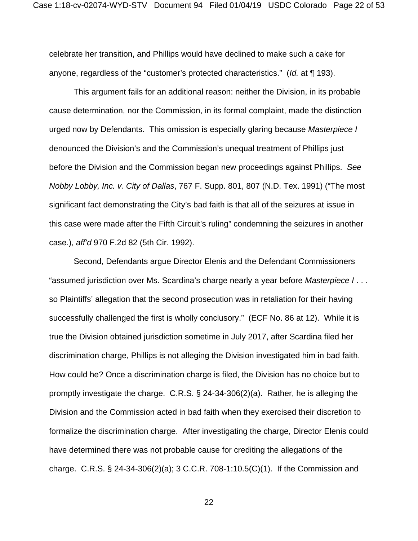celebrate her transition, and Phillips would have declined to make such a cake for anyone, regardless of the "customer's protected characteristics." (*Id.* at ¶ 193).

This argument fails for an additional reason: neither the Division, in its probable cause determination, nor the Commission, in its formal complaint, made the distinction urged now by Defendants. This omission is especially glaring because *Masterpiece I* denounced the Division's and the Commission's unequal treatment of Phillips just before the Division and the Commission began new proceedings against Phillips. *See Nobby Lobby, Inc. v. City of Dallas*, 767 F. Supp. 801, 807 (N.D. Tex. 1991) ("The most significant fact demonstrating the City's bad faith is that all of the seizures at issue in this case were made after the Fifth Circuit's ruling" condemning the seizures in another case.), *aff'd* 970 F.2d 82 (5th Cir. 1992).

Second, Defendants argue Director Elenis and the Defendant Commissioners "assumed jurisdiction over Ms. Scardina's charge nearly a year before *Masterpiece I* . . . so Plaintiffs' allegation that the second prosecution was in retaliation for their having successfully challenged the first is wholly conclusory." (ECF No. 86 at 12). While it is true the Division obtained jurisdiction sometime in July 2017, after Scardina filed her discrimination charge, Phillips is not alleging the Division investigated him in bad faith. How could he? Once a discrimination charge is filed, the Division has no choice but to promptly investigate the charge. C.R.S. § 24-34-306(2)(a). Rather, he is alleging the Division and the Commission acted in bad faith when they exercised their discretion to formalize the discrimination charge. After investigating the charge, Director Elenis could have determined there was not probable cause for crediting the allegations of the charge. C.R.S. § 24-34-306(2)(a); 3 C.C.R. 708-1:10.5(C)(1). If the Commission and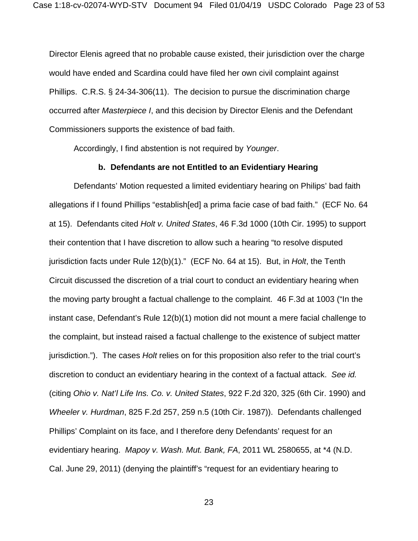Director Elenis agreed that no probable cause existed, their jurisdiction over the charge would have ended and Scardina could have filed her own civil complaint against Phillips. C.R.S. § 24-34-306(11). The decision to pursue the discrimination charge occurred after *Masterpiece I*, and this decision by Director Elenis and the Defendant Commissioners supports the existence of bad faith.

Accordingly, I find abstention is not required by *Younger*.

#### **b. Defendants are not Entitled to an Evidentiary Hearing**

Defendants' Motion requested a limited evidentiary hearing on Philips' bad faith allegations if I found Phillips "establish[ed] a prima facie case of bad faith." (ECF No. 64 at 15). Defendants cited *Holt v. United States*, 46 F.3d 1000 (10th Cir. 1995) to support their contention that I have discretion to allow such a hearing "to resolve disputed jurisdiction facts under Rule 12(b)(1)." (ECF No. 64 at 15). But, in *Holt*, the Tenth Circuit discussed the discretion of a trial court to conduct an evidentiary hearing when the moving party brought a factual challenge to the complaint. 46 F.3d at 1003 ("In the instant case, Defendant's Rule 12(b)(1) motion did not mount a mere facial challenge to the complaint, but instead raised a factual challenge to the existence of subject matter jurisdiction."). The cases *Holt* relies on for this proposition also refer to the trial court's discretion to conduct an evidentiary hearing in the context of a factual attack. *See id.* (citing *Ohio v. Nat'l Life Ins. Co. v. United States*, 922 F.2d 320, 325 (6th Cir. 1990) and *Wheeler v. Hurdman*, 825 F.2d 257, 259 n.5 (10th Cir. 1987)). Defendants challenged Phillips' Complaint on its face, and I therefore deny Defendants' request for an evidentiary hearing. *Mapoy v. Wash. Mut. Bank, FA*, 2011 WL 2580655, at \*4 (N.D. Cal. June 29, 2011) (denying the plaintiff's "request for an evidentiary hearing to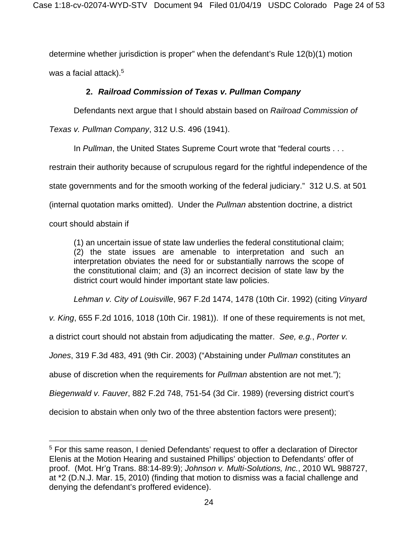determine whether jurisdiction is proper" when the defendant's Rule 12(b)(1) motion was a facial attack).<sup>5</sup>

# **2.** *Railroad Commission of Texas v. Pullman Company*

Defendants next argue that I should abstain based on *Railroad Commission of* 

*Texas v. Pullman Company*, 312 U.S. 496 (1941).

In *Pullman*, the United States Supreme Court wrote that "federal courts . . .

restrain their authority because of scrupulous regard for the rightful independence of the

state governments and for the smooth working of the federal judiciary." 312 U.S. at 501

(internal quotation marks omitted). Under the *Pullman* abstention doctrine, a district

court should abstain if

 $\overline{a}$ 

(1) an uncertain issue of state law underlies the federal constitutional claim; (2) the state issues are amenable to interpretation and such an interpretation obviates the need for or substantially narrows the scope of the constitutional claim; and (3) an incorrect decision of state law by the district court would hinder important state law policies.

*Lehman v. City of Louisville*, 967 F.2d 1474, 1478 (10th Cir. 1992) (citing *Vinyard* 

*v. King*, 655 F.2d 1016, 1018 (10th Cir. 1981)). If one of these requirements is not met,

a district court should not abstain from adjudicating the matter. *See, e.g.*, *Porter v.* 

*Jones*, 319 F.3d 483, 491 (9th Cir. 2003) ("Abstaining under *Pullman* constitutes an

abuse of discretion when the requirements for *Pullman* abstention are not met.");

*Biegenwald v. Fauver*, 882 F.2d 748, 751-54 (3d Cir. 1989) (reversing district court's

decision to abstain when only two of the three abstention factors were present);

<sup>5</sup> For this same reason, I denied Defendants' request to offer a declaration of Director Elenis at the Motion Hearing and sustained Phillips' objection to Defendants' offer of proof. (Mot. Hr'g Trans. 88:14-89:9); *Johnson v. Multi-Solutions, Inc.*, 2010 WL 988727, at \*2 (D.N.J. Mar. 15, 2010) (finding that motion to dismiss was a facial challenge and denying the defendant's proffered evidence).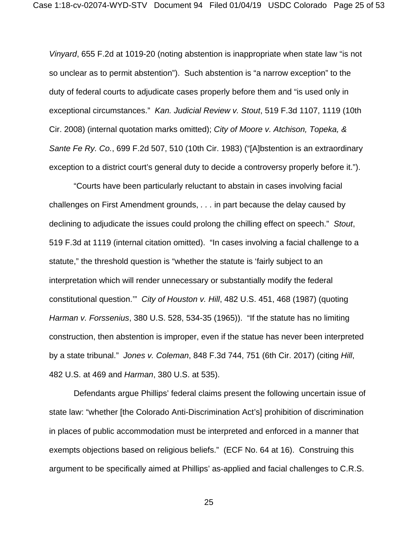*Vinyard*, 655 F.2d at 1019-20 (noting abstention is inappropriate when state law "is not so unclear as to permit abstention").Such abstention is "a narrow exception" to the duty of federal courts to adjudicate cases properly before them and "is used only in exceptional circumstances." *Kan. Judicial Review v. Stout*, 519 F.3d 1107, 1119 (10th Cir. 2008) (internal quotation marks omitted); *City of Moore v. Atchison, Topeka, & Sante Fe Ry. Co.*, 699 F.2d 507, 510 (10th Cir. 1983) ("[A]bstention is an extraordinary exception to a district court's general duty to decide a controversy properly before it.").

"Courts have been particularly reluctant to abstain in cases involving facial challenges on First Amendment grounds, *. . .* in part because the delay caused by declining to adjudicate the issues could prolong the chilling effect on speech." *Stout*, 519 F.3d at 1119 (internal citation omitted). "In cases involving a facial challenge to a statute," the threshold question is "whether the statute is 'fairly subject to an interpretation which will render unnecessary or substantially modify the federal constitutional question.'" *City of Houston v. Hill*, 482 U.S. 451, 468 (1987) (quoting *Harman v. Forssenius*, 380 U.S. 528, 534-35 (1965)). "If the statute has no limiting construction, then abstention is improper, even if the statue has never been interpreted by a state tribunal." *Jones v. Coleman*, 848 F.3d 744, 751 (6th Cir. 2017) (citing *Hill*, 482 U.S. at 469 and *Harman*, 380 U.S. at 535).

Defendants argue Phillips' federal claims present the following uncertain issue of state law: "whether [the Colorado Anti-Discrimination Act's] prohibition of discrimination in places of public accommodation must be interpreted and enforced in a manner that exempts objections based on religious beliefs." (ECF No. 64 at 16). Construing this argument to be specifically aimed at Phillips' as-applied and facial challenges to C.R.S.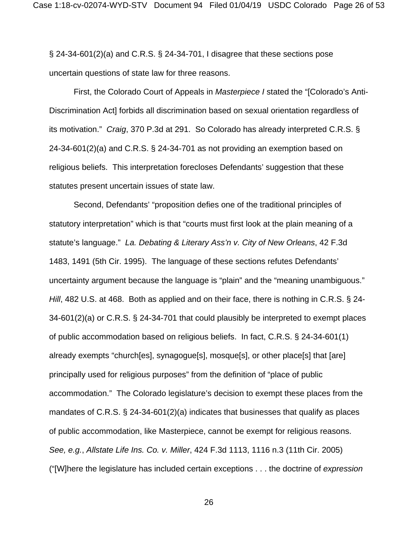§ 24-34-601(2)(a) and C.R.S. § 24-34-701, I disagree that these sections pose uncertain questions of state law for three reasons.

First, the Colorado Court of Appeals in *Masterpiece I* stated the "[Colorado's Anti-Discrimination Act] forbids all discrimination based on sexual orientation regardless of its motivation." *Craig*, 370 P.3d at 291. So Colorado has already interpreted C.R.S. § 24-34-601(2)(a) and C.R.S. § 24-34-701 as not providing an exemption based on religious beliefs. This interpretation forecloses Defendants' suggestion that these statutes present uncertain issues of state law.

Second, Defendants' "proposition defies one of the traditional principles of statutory interpretation" which is that "courts must first look at the plain meaning of a statute's language." *La. Debating & Literary Ass'n v. City of New Orleans*, 42 F.3d 1483, 1491 (5th Cir. 1995). The language of these sections refutes Defendants' uncertainty argument because the language is "plain" and the "meaning unambiguous." *Hill*, 482 U.S. at 468. Both as applied and on their face, there is nothing in C.R.S. § 24- 34-601(2)(a) or C.R.S. § 24-34-701 that could plausibly be interpreted to exempt places of public accommodation based on religious beliefs. In fact, C.R.S. § 24-34-601(1) already exempts "church[es], synagogue[s], mosque[s], or other place[s] that [are] principally used for religious purposes" from the definition of "place of public accommodation." The Colorado legislature's decision to exempt these places from the mandates of C.R.S. § 24-34-601(2)(a) indicates that businesses that qualify as places of public accommodation, like Masterpiece, cannot be exempt for religious reasons. *See, e.g.*, *Allstate Life Ins. Co. v. Miller*, 424 F.3d 1113, 1116 n.3 (11th Cir. 2005) ("[W]here the legislature has included certain exceptions . . . the doctrine of *expression*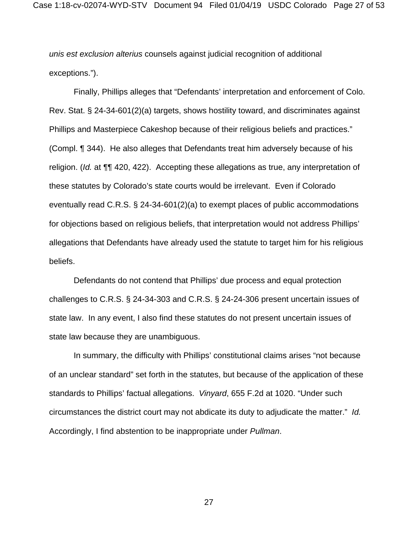*unis est exclusion alterius* counsels against judicial recognition of additional exceptions.").

Finally, Phillips alleges that "Defendants' interpretation and enforcement of Colo. Rev. Stat. § 24-34-601(2)(a) targets, shows hostility toward, and discriminates against Phillips and Masterpiece Cakeshop because of their religious beliefs and practices." (Compl. ¶ 344). He also alleges that Defendants treat him adversely because of his religion. (*Id.* at ¶¶ 420, 422). Accepting these allegations as true, any interpretation of these statutes by Colorado's state courts would be irrelevant. Even if Colorado eventually read C.R.S. § 24-34-601(2)(a) to exempt places of public accommodations for objections based on religious beliefs, that interpretation would not address Phillips' allegations that Defendants have already used the statute to target him for his religious beliefs.

Defendants do not contend that Phillips' due process and equal protection challenges to C.R.S. § 24-34-303 and C.R.S. § 24-24-306 present uncertain issues of state law. In any event, I also find these statutes do not present uncertain issues of state law because they are unambiguous.

In summary, the difficulty with Phillips' constitutional claims arises "not because of an unclear standard" set forth in the statutes, but because of the application of these standards to Phillips' factual allegations. *Vinyard*, 655 F.2d at 1020. "Under such circumstances the district court may not abdicate its duty to adjudicate the matter." *Id.* Accordingly, I find abstention to be inappropriate under *Pullman*.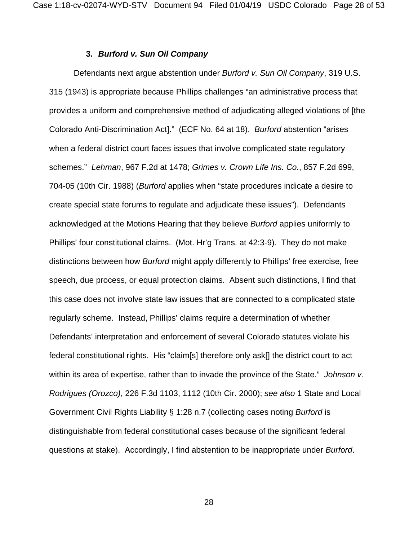#### **3.** *Burford v. Sun Oil Company*

Defendants next argue abstention under *Burford v. Sun Oil Company*, 319 U.S. 315 (1943) is appropriate because Phillips challenges "an administrative process that provides a uniform and comprehensive method of adjudicating alleged violations of [the Colorado Anti-Discrimination Act]." (ECF No. 64 at 18). *Burford* abstention "arises when a federal district court faces issues that involve complicated state regulatory schemes." *Lehman*, 967 F.2d at 1478; *Grimes v. Crown Life Ins. Co.*, 857 F.2d 699, 704-05 (10th Cir. 1988) (*Burford* applies when "state procedures indicate a desire to create special state forums to regulate and adjudicate these issues"). Defendants acknowledged at the Motions Hearing that they believe *Burford* applies uniformly to Phillips' four constitutional claims. (Mot. Hr'g Trans. at 42:3-9). They do not make distinctions between how *Burford* might apply differently to Phillips' free exercise, free speech, due process, or equal protection claims. Absent such distinctions, I find that this case does not involve state law issues that are connected to a complicated state regularly scheme. Instead, Phillips' claims require a determination of whether Defendants' interpretation and enforcement of several Colorado statutes violate his federal constitutional rights. His "claim[s] therefore only ask[] the district court to act within its area of expertise, rather than to invade the province of the State." *Johnson v. Rodrigues (Orozco)*, 226 F.3d 1103, 1112 (10th Cir. 2000); *see also* 1 State and Local Government Civil Rights Liability § 1:28 n.7 (collecting cases noting *Burford* is distinguishable from federal constitutional cases because of the significant federal questions at stake). Accordingly, I find abstention to be inappropriate under *Burford*.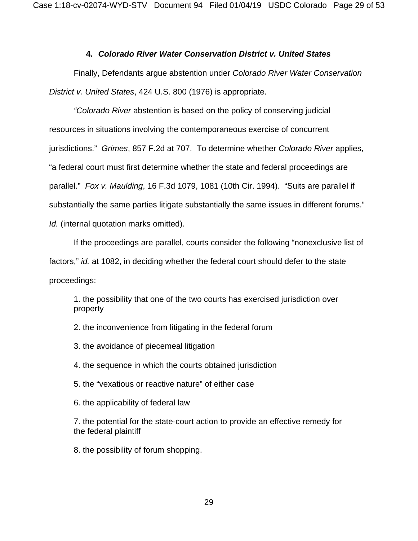## **4.** *Colorado River Water Conservation District v. United States*

Finally, Defendants argue abstention under *Colorado River Water Conservation District v. United States*, 424 U.S. 800 (1976) is appropriate.

*"Colorado River* abstention is based on the policy of conserving judicial resources in situations involving the contemporaneous exercise of concurrent jurisdictions." *Grimes*, 857 F.2d at 707. To determine whether *Colorado River* applies, "a federal court must first determine whether the state and federal proceedings are parallel." *Fox v. Maulding*, 16 F.3d 1079, 1081 (10th Cir. 1994). "Suits are parallel if substantially the same parties litigate substantially the same issues in different forums." *Id.* (internal quotation marks omitted).

If the proceedings are parallel, courts consider the following "nonexclusive list of factors," *id.* at 1082, in deciding whether the federal court should defer to the state proceedings:

1. the possibility that one of the two courts has exercised jurisdiction over property

2. the inconvenience from litigating in the federal forum

3. the avoidance of piecemeal litigation

4. the sequence in which the courts obtained jurisdiction

5. the "vexatious or reactive nature" of either case

6. the applicability of federal law

7. the potential for the state-court action to provide an effective remedy for the federal plaintiff

8. the possibility of forum shopping.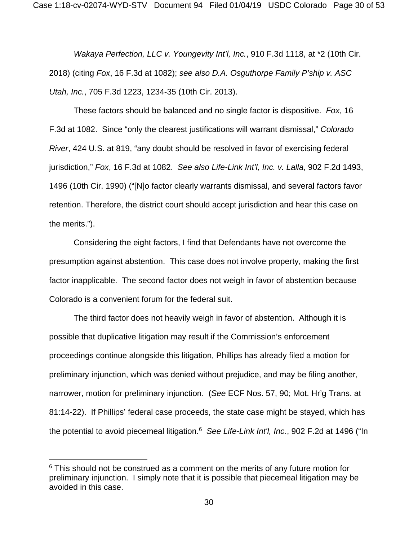*Wakaya Perfection, LLC v. Youngevity Int'l, Inc.*, 910 F.3d 1118, at \*2 (10th Cir. 2018) (citing *Fox*, 16 F.3d at 1082); *see also D.A. Osguthorpe Family P'ship v. ASC Utah, Inc.*, 705 F.3d 1223, 1234-35 (10th Cir. 2013).

These factors should be balanced and no single factor is dispositive. *Fox*, 16 F.3d at 1082. Since "only the clearest justifications will warrant dismissal," *Colorado River*, 424 U.S. at 819, "any doubt should be resolved in favor of exercising federal jurisdiction," *Fox*, 16 F.3d at 1082. *See also Life-Link Int'l, Inc. v. Lalla*, 902 F.2d 1493, 1496 (10th Cir. 1990) ("[N]o factor clearly warrants dismissal, and several factors favor retention. Therefore, the district court should accept jurisdiction and hear this case on the merits.").

Considering the eight factors, I find that Defendants have not overcome the presumption against abstention. This case does not involve property, making the first factor inapplicable. The second factor does not weigh in favor of abstention because Colorado is a convenient forum for the federal suit.

The third factor does not heavily weigh in favor of abstention. Although it is possible that duplicative litigation may result if the Commission's enforcement proceedings continue alongside this litigation, Phillips has already filed a motion for preliminary injunction, which was denied without prejudice, and may be filing another, narrower, motion for preliminary injunction. (*See* ECF Nos. 57, 90; Mot. Hr'g Trans. at 81:14-22). If Phillips' federal case proceeds, the state case might be stayed, which has the potential to avoid piecemeal litigation.<sup>6</sup> See Life-Link Int'l, Inc., 902 F.2d at 1496 ("In

 $6$  This should not be construed as a comment on the merits of any future motion for preliminary injunction. I simply note that it is possible that piecemeal litigation may be avoided in this case.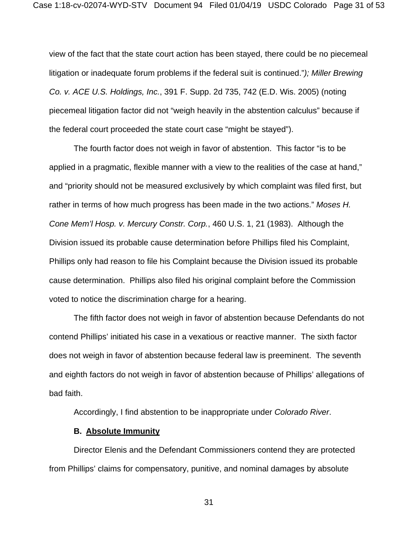view of the fact that the state court action has been stayed, there could be no piecemeal litigation or inadequate forum problems if the federal suit is continued."*); Miller Brewing Co. v. ACE U.S. Holdings, Inc.*, 391 F. Supp. 2d 735, 742 (E.D. Wis. 2005) (noting piecemeal litigation factor did not "weigh heavily in the abstention calculus" because if the federal court proceeded the state court case "might be stayed").

The fourth factor does not weigh in favor of abstention. This factor "is to be applied in a pragmatic, flexible manner with a view to the realities of the case at hand," and "priority should not be measured exclusively by which complaint was filed first, but rather in terms of how much progress has been made in the two actions." *Moses H. Cone Mem'l Hosp. v. Mercury Constr. Corp.*, 460 U.S. 1, 21 (1983). Although the Division issued its probable cause determination before Phillips filed his Complaint, Phillips only had reason to file his Complaint because the Division issued its probable cause determination. Phillips also filed his original complaint before the Commission voted to notice the discrimination charge for a hearing.

The fifth factor does not weigh in favor of abstention because Defendants do not contend Phillips' initiated his case in a vexatious or reactive manner. The sixth factor does not weigh in favor of abstention because federal law is preeminent. The seventh and eighth factors do not weigh in favor of abstention because of Phillips' allegations of bad faith.

Accordingly, I find abstention to be inappropriate under *Colorado River*.

## **B. Absolute Immunity**

Director Elenis and the Defendant Commissioners contend they are protected from Phillips' claims for compensatory, punitive, and nominal damages by absolute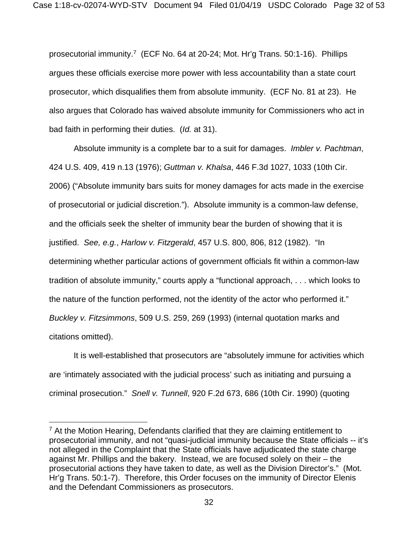prosecutorial immunity.7 (ECF No. 64 at 20-24; Mot. Hr'g Trans. 50:1-16). Phillips argues these officials exercise more power with less accountability than a state court prosecutor, which disqualifies them from absolute immunity. (ECF No. 81 at 23). He also argues that Colorado has waived absolute immunity for Commissioners who act in bad faith in performing their duties. (*Id.* at 31).

Absolute immunity is a complete bar to a suit for damages. *Imbler v. Pachtman*, 424 U.S. 409, 419 n.13 (1976); *Guttman v. Khalsa*, 446 F.3d 1027, 1033 (10th Cir. 2006) ("Absolute immunity bars suits for money damages for acts made in the exercise of prosecutorial or judicial discretion."). Absolute immunity is a common-law defense, and the officials seek the shelter of immunity bear the burden of showing that it is justified. *See, e.g.*, *Harlow v. Fitzgerald*, 457 U.S. 800, 806, 812 (1982). "In determining whether particular actions of government officials fit within a common-law tradition of absolute immunity," courts apply a "functional approach, . . . which looks to the nature of the function performed, not the identity of the actor who performed it." *Buckley v. Fitzsimmons*, 509 U.S. 259, 269 (1993) (internal quotation marks and citations omitted).

It is well-established that prosecutors are "absolutely immune for activities which are 'intimately associated with the judicial process' such as initiating and pursuing a criminal prosecution." *Snell v. Tunnell*, 920 F.2d 673, 686 (10th Cir. 1990) (quoting

 $\overline{a}$ 

<sup>&</sup>lt;sup>7</sup> At the Motion Hearing, Defendants clarified that they are claiming entitlement to prosecutorial immunity, and not "quasi-judicial immunity because the State officials -- it's not alleged in the Complaint that the State officials have adjudicated the state charge against Mr. Phillips and the bakery. Instead, we are focused solely on their – the prosecutorial actions they have taken to date, as well as the Division Director's." (Mot. Hr'g Trans. 50:1-7). Therefore, this Order focuses on the immunity of Director Elenis and the Defendant Commissioners as prosecutors.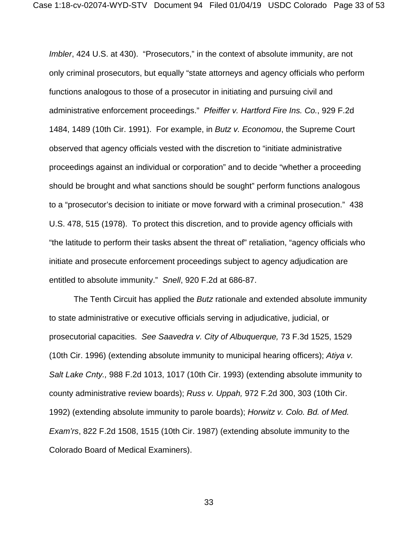*Imbler*, 424 U.S. at 430). "Prosecutors," in the context of absolute immunity, are not only criminal prosecutors, but equally "state attorneys and agency officials who perform functions analogous to those of a prosecutor in initiating and pursuing civil and administrative enforcement proceedings." *Pfeiffer v. Hartford Fire Ins. Co.*, 929 F.2d 1484, 1489 (10th Cir. 1991). For example, in *Butz v. Economou*, the Supreme Court observed that agency officials vested with the discretion to "initiate administrative proceedings against an individual or corporation" and to decide "whether a proceeding should be brought and what sanctions should be sought" perform functions analogous to a "prosecutor's decision to initiate or move forward with a criminal prosecution." 438 U.S. 478, 515 (1978).To protect this discretion, and to provide agency officials with "the latitude to perform their tasks absent the threat of" retaliation, "agency officials who initiate and prosecute enforcement proceedings subject to agency adjudication are entitled to absolute immunity." *Snell*, 920 F.2d at 686-87.

The Tenth Circuit has applied the *Butz* rationale and extended absolute immunity to state administrative or executive officials serving in adjudicative, judicial, or prosecutorial capacities. *See Saavedra v. City of Albuquerque,* 73 F.3d 1525, 1529 (10th Cir. 1996) (extending absolute immunity to municipal hearing officers); *Atiya v. Salt Lake Cnty.,* 988 F.2d 1013, 1017 (10th Cir. 1993) (extending absolute immunity to county administrative review boards); *Russ v. Uppah,* 972 F.2d 300, 303 (10th Cir. 1992) (extending absolute immunity to parole boards); *Horwitz v. Colo. Bd. of Med. Exam'rs*, 822 F.2d 1508, 1515 (10th Cir. 1987) (extending absolute immunity to the Colorado Board of Medical Examiners).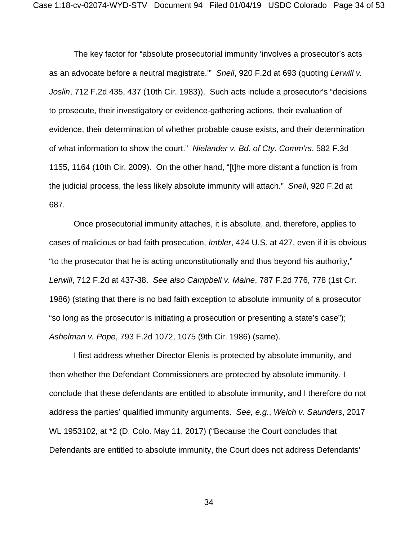The key factor for "absolute prosecutorial immunity 'involves a prosecutor's acts as an advocate before a neutral magistrate.'" *Snell*, 920 F.2d at 693 (quoting *Lerwill v. Joslin*, 712 F.2d 435, 437 (10th Cir. 1983)). Such acts include a prosecutor's "decisions to prosecute, their investigatory or evidence-gathering actions, their evaluation of evidence, their determination of whether probable cause exists, and their determination of what information to show the court." *Nielander v. Bd. of Cty. Comm'rs*, 582 F.3d 1155, 1164 (10th Cir. 2009).On the other hand, "[t]he more distant a function is from the judicial process, the less likely absolute immunity will attach." *Snell*, 920 F.2d at 687.

Once prosecutorial immunity attaches, it is absolute, and, therefore, applies to cases of malicious or bad faith prosecution, *Imbler*, 424 U.S. at 427, even if it is obvious "to the prosecutor that he is acting unconstitutionally and thus beyond his authority," *Lerwill*, 712 F.2d at 437-38. *See also Campbell v. Maine*, 787 F.2d 776, 778 (1st Cir. 1986) (stating that there is no bad faith exception to absolute immunity of a prosecutor "so long as the prosecutor is initiating a prosecution or presenting a state's case"); *Ashelman v. Pope*, 793 F.2d 1072, 1075 (9th Cir. 1986) (same).

I first address whether Director Elenis is protected by absolute immunity, and then whether the Defendant Commissioners are protected by absolute immunity. I conclude that these defendants are entitled to absolute immunity, and I therefore do not address the parties' qualified immunity arguments. *See, e.g.*, *Welch v. Saunders*, 2017 WL 1953102, at \*2 (D. Colo. May 11, 2017) ("Because the Court concludes that Defendants are entitled to absolute immunity, the Court does not address Defendants'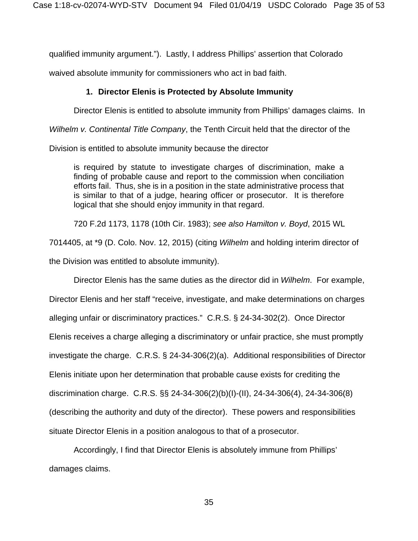qualified immunity argument."). Lastly, I address Phillips' assertion that Colorado

waived absolute immunity for commissioners who act in bad faith.

## **1. Director Elenis is Protected by Absolute Immunity**

Director Elenis is entitled to absolute immunity from Phillips' damages claims. In

*Wilhelm v. Continental Title Company*, the Tenth Circuit held that the director of the

Division is entitled to absolute immunity because the director

is required by statute to investigate charges of discrimination, make a finding of probable cause and report to the commission when conciliation efforts fail. Thus, she is in a position in the state administrative process that is similar to that of a judge, hearing officer or prosecutor. It is therefore logical that she should enjoy immunity in that regard.

720 F.2d 1173, 1178 (10th Cir. 1983); *see also Hamilton v. Boyd*, 2015 WL

7014405, at \*9 (D. Colo. Nov. 12, 2015) (citing *Wilhelm* and holding interim director of the Division was entitled to absolute immunity).

Director Elenis has the same duties as the director did in *Wilhelm*. For example,

Director Elenis and her staff "receive, investigate, and make determinations on charges

alleging unfair or discriminatory practices." C.R.S. § 24-34-302(2). Once Director

Elenis receives a charge alleging a discriminatory or unfair practice, she must promptly

investigate the charge. C.R.S. § 24-34-306(2)(a). Additional responsibilities of Director

Elenis initiate upon her determination that probable cause exists for crediting the

discrimination charge. C.R.S. §§ 24-34-306(2)(b)(I)-(II), 24-34-306(4), 24-34-306(8)

(describing the authority and duty of the director). These powers and responsibilities

situate Director Elenis in a position analogous to that of a prosecutor.

Accordingly, I find that Director Elenis is absolutely immune from Phillips' damages claims.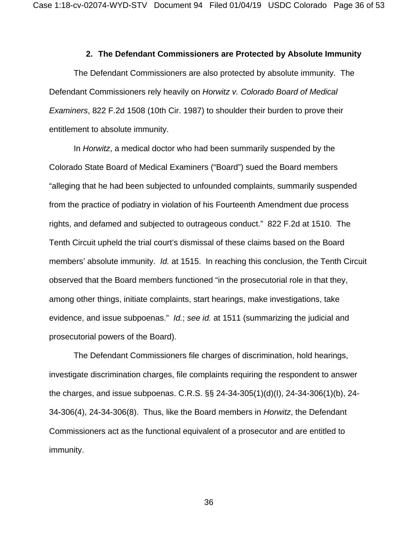#### **2. The Defendant Commissioners are Protected by Absolute Immunity**

The Defendant Commissioners are also protected by absolute immunity. The Defendant Commissioners rely heavily on *Horwitz v. Colorado Board of Medical Examiners*, 822 F.2d 1508 (10th Cir. 1987) to shoulder their burden to prove their entitlement to absolute immunity.

In *Horwitz*, a medical doctor who had been summarily suspended by the Colorado State Board of Medical Examiners ("Board") sued the Board members "alleging that he had been subjected to unfounded complaints, summarily suspended from the practice of podiatry in violation of his Fourteenth Amendment due process rights, and defamed and subjected to outrageous conduct." 822 F.2d at 1510. The Tenth Circuit upheld the trial court's dismissal of these claims based on the Board members' absolute immunity. *Id.* at 1515. In reaching this conclusion, the Tenth Circuit observed that the Board members functioned "in the prosecutorial role in that they, among other things, initiate complaints, start hearings, make investigations, take evidence, and issue subpoenas." *Id.*; *see id.* at 1511 (summarizing the judicial and prosecutorial powers of the Board).

The Defendant Commissioners file charges of discrimination, hold hearings, investigate discrimination charges, file complaints requiring the respondent to answer the charges, and issue subpoenas. C.R.S. §§ 24-34-305(1)(d)(I), 24-34-306(1)(b), 24- 34-306(4), 24-34-306(8). Thus, like the Board members in *Horwitz*, the Defendant Commissioners act as the functional equivalent of a prosecutor and are entitled to immunity.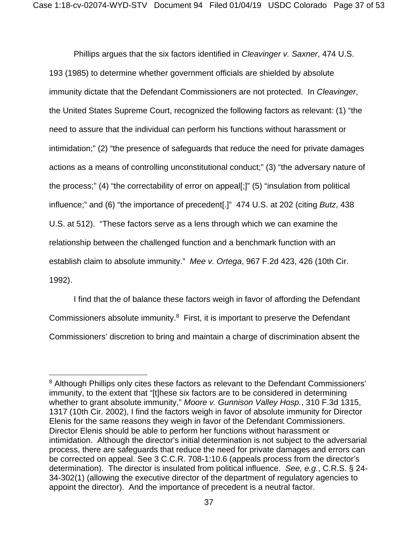Phillips argues that the six factors identified in *Cleavinger v. Saxner*, 474 U.S. 193 (1985) to determine whether government officials are shielded by absolute immunity dictate that the Defendant Commissioners are not protected. In *Cleavinger*, the United States Supreme Court, recognized the following factors as relevant: (1) "the need to assure that the individual can perform his functions without harassment or intimidation;" (2) "the presence of safeguards that reduce the need for private damages actions as a means of controlling unconstitutional conduct;" (3) "the adversary nature of the process;" (4) "the correctability of error on appeal[;]" (5) "insulation from political influence;" and (6) "the importance of precedent[.]" 474 U.S. at 202 (citing *Butz*, 438 U.S. at 512). "These factors serve as a lens through which we can examine the relationship between the challenged function and a benchmark function with an establish claim to absolute immunity." *Mee v. Ortega*, 967 F.2d 423, 426 (10th Cir. 1992).

I find that the of balance these factors weigh in favor of affording the Defendant Commissioners absolute immunity. $8$  First, it is important to preserve the Defendant Commissioners' discretion to bring and maintain a charge of discrimination absent the

 $\overline{a}$ 

<sup>&</sup>lt;sup>8</sup> Although Phillips only cites these factors as relevant to the Defendant Commissioners' immunity, to the extent that "[t]hese six factors are to be considered in determining whether to grant absolute immunity," *Moore v. Gunnison Valley Hosp.*, 310 F.3d 1315, 1317 (10th Cir. 2002), I find the factors weigh in favor of absolute immunity for Director Elenis for the same reasons they weigh in favor of the Defendant Commissioners. Director Elenis should be able to perform her functions without harassment or intimidation. Although the director's initial determination is not subject to the adversarial process, there are safeguards that reduce the need for private damages and errors can be corrected on appeal. See 3 C.C.R. 708-1:10.6 (appeals process from the director's determination). The director is insulated from political influence. *See, e.g.*, C.R.S. § 24- 34-302(1) (allowing the executive director of the department of regulatory agencies to appoint the director). And the importance of precedent is a neutral factor.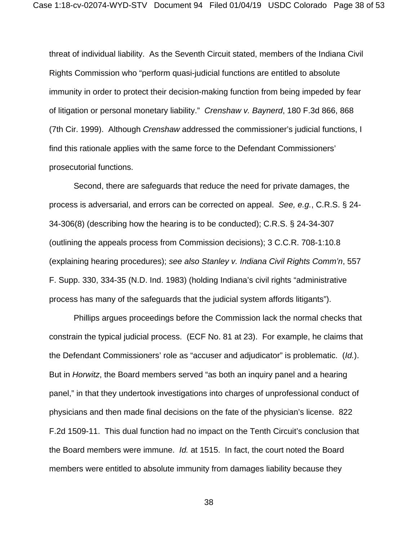threat of individual liability. As the Seventh Circuit stated, members of the Indiana Civil Rights Commission who "perform quasi-judicial functions are entitled to absolute immunity in order to protect their decision-making function from being impeded by fear of litigation or personal monetary liability." *Crenshaw v. Baynerd*, 180 F.3d 866, 868 (7th Cir. 1999). Although *Crenshaw* addressed the commissioner's judicial functions, I find this rationale applies with the same force to the Defendant Commissioners' prosecutorial functions.

Second, there are safeguards that reduce the need for private damages, the process is adversarial, and errors can be corrected on appeal. *See, e.g.*, C.R.S. § 24- 34-306(8) (describing how the hearing is to be conducted); C.R.S. § 24-34-307 (outlining the appeals process from Commission decisions); 3 C.C.R. 708-1:10.8 (explaining hearing procedures); *see also Stanley v. Indiana Civil Rights Comm'n*, 557 F. Supp. 330, 334-35 (N.D. Ind. 1983) (holding Indiana's civil rights "administrative process has many of the safeguards that the judicial system affords litigants").

Phillips argues proceedings before the Commission lack the normal checks that constrain the typical judicial process. (ECF No. 81 at 23). For example, he claims that the Defendant Commissioners' role as "accuser and adjudicator" is problematic. (*Id.*). But in *Horwitz*, the Board members served "as both an inquiry panel and a hearing panel," in that they undertook investigations into charges of unprofessional conduct of physicians and then made final decisions on the fate of the physician's license. 822 F.2d 1509-11. This dual function had no impact on the Tenth Circuit's conclusion that the Board members were immune. *Id.* at 1515. In fact, the court noted the Board members were entitled to absolute immunity from damages liability because they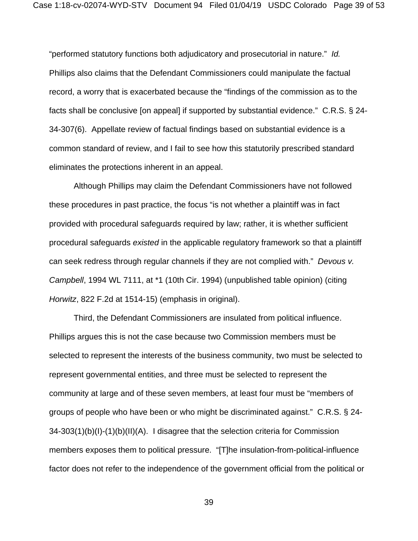"performed statutory functions both adjudicatory and prosecutorial in nature." *Id.* Phillips also claims that the Defendant Commissioners could manipulate the factual record, a worry that is exacerbated because the "findings of the commission as to the facts shall be conclusive [on appeal] if supported by substantial evidence." C.R.S. § 24- 34-307(6). Appellate review of factual findings based on substantial evidence is a common standard of review, and I fail to see how this statutorily prescribed standard eliminates the protections inherent in an appeal.

Although Phillips may claim the Defendant Commissioners have not followed these procedures in past practice, the focus "is not whether a plaintiff was in fact provided with procedural safeguards required by law; rather, it is whether sufficient procedural safeguards *existed* in the applicable regulatory framework so that a plaintiff can seek redress through regular channels if they are not complied with." *Devous v. Campbell*, 1994 WL 7111, at \*1 (10th Cir. 1994) (unpublished table opinion) (citing *Horwitz*, 822 F.2d at 1514-15) (emphasis in original).

Third, the Defendant Commissioners are insulated from political influence. Phillips argues this is not the case because two Commission members must be selected to represent the interests of the business community, two must be selected to represent governmental entities, and three must be selected to represent the community at large and of these seven members, at least four must be "members of groups of people who have been or who might be discriminated against." C.R.S. § 24- 34-303(1)(b)(I)-(1)(b)(II)(A). I disagree that the selection criteria for Commission members exposes them to political pressure. "[T]he insulation-from-political-influence factor does not refer to the independence of the government official from the political or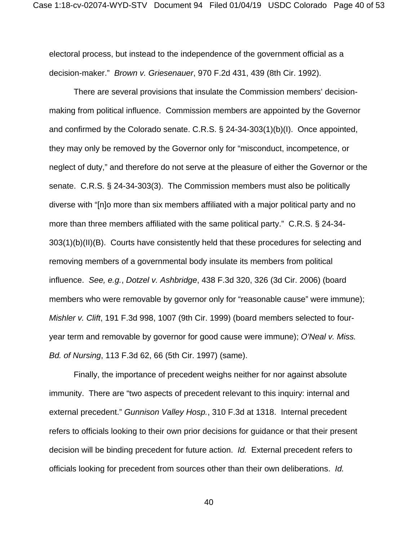electoral process, but instead to the independence of the government official as a decision-maker." *Brown v. Griesenauer*, 970 F.2d 431, 439 (8th Cir. 1992).

There are several provisions that insulate the Commission members' decisionmaking from political influence. Commission members are appointed by the Governor and confirmed by the Colorado senate. C.R.S. § 24-34-303(1)(b)(I). Once appointed, they may only be removed by the Governor only for "misconduct, incompetence, or neglect of duty," and therefore do not serve at the pleasure of either the Governor or the senate. C.R.S. § 24-34-303(3). The Commission members must also be politically diverse with "[n]o more than six members affiliated with a major political party and no more than three members affiliated with the same political party." C.R.S. § 24-34- 303(1)(b)(II)(B). Courts have consistently held that these procedures for selecting and removing members of a governmental body insulate its members from political influence. *See, e.g.*, *Dotzel v. Ashbridge*, 438 F.3d 320, 326 (3d Cir. 2006) (board members who were removable by governor only for "reasonable cause" were immune); *Mishler v. Clift*, 191 F.3d 998, 1007 (9th Cir. 1999) (board members selected to fouryear term and removable by governor for good cause were immune); *O'Neal v. Miss. Bd. of Nursing*, 113 F.3d 62, 66 (5th Cir. 1997) (same).

Finally, the importance of precedent weighs neither for nor against absolute immunity. There are "two aspects of precedent relevant to this inquiry: internal and external precedent." *Gunnison Valley Hosp.*, 310 F.3d at 1318. Internal precedent refers to officials looking to their own prior decisions for guidance or that their present decision will be binding precedent for future action. *Id.* External precedent refers to officials looking for precedent from sources other than their own deliberations. *Id.*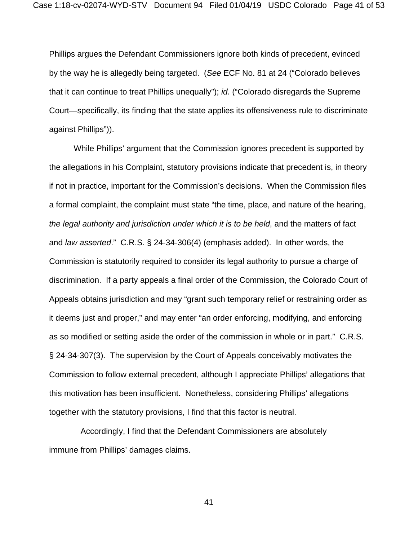Phillips argues the Defendant Commissioners ignore both kinds of precedent, evinced by the way he is allegedly being targeted. (*See* ECF No. 81 at 24 ("Colorado believes that it can continue to treat Phillips unequally"); *id.* ("Colorado disregards the Supreme Court—specifically, its finding that the state applies its offensiveness rule to discriminate against Phillips")).

While Phillips' argument that the Commission ignores precedent is supported by the allegations in his Complaint, statutory provisions indicate that precedent is, in theory if not in practice, important for the Commission's decisions. When the Commission files a formal complaint, the complaint must state "the time, place, and nature of the hearing, *the legal authority and jurisdiction under which it is to be held*, and the matters of fact and *law asserted*." C.R.S. § 24-34-306(4) (emphasis added). In other words, the Commission is statutorily required to consider its legal authority to pursue a charge of discrimination. If a party appeals a final order of the Commission, the Colorado Court of Appeals obtains jurisdiction and may "grant such temporary relief or restraining order as it deems just and proper," and may enter "an order enforcing, modifying, and enforcing as so modified or setting aside the order of the commission in whole or in part." C.R.S. § 24-34-307(3). The supervision by the Court of Appeals conceivably motivates the Commission to follow external precedent, although I appreciate Phillips' allegations that this motivation has been insufficient. Nonetheless, considering Phillips' allegations together with the statutory provisions, I find that this factor is neutral.

 Accordingly, I find that the Defendant Commissioners are absolutely immune from Phillips' damages claims.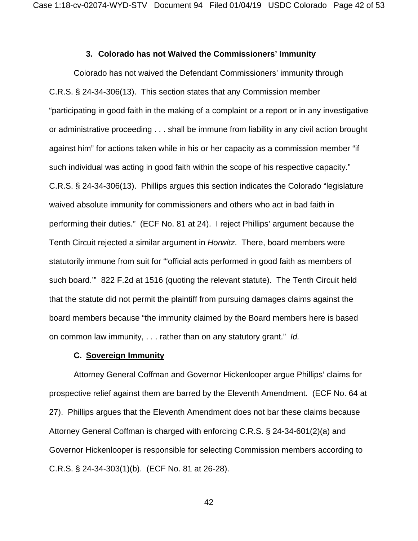#### **3. Colorado has not Waived the Commissioners' Immunity**

Colorado has not waived the Defendant Commissioners' immunity through C.R.S. § 24-34-306(13). This section states that any Commission member "participating in good faith in the making of a complaint or a report or in any investigative or administrative proceeding . . . shall be immune from liability in any civil action brought against him" for actions taken while in his or her capacity as a commission member "if such individual was acting in good faith within the scope of his respective capacity." C.R.S. § 24-34-306(13). Phillips argues this section indicates the Colorado "legislature waived absolute immunity for commissioners and others who act in bad faith in performing their duties." (ECF No. 81 at 24). I reject Phillips' argument because the Tenth Circuit rejected a similar argument in *Horwitz*. There, board members were statutorily immune from suit for "'official acts performed in good faith as members of such board.'" 822 F.2d at 1516 (quoting the relevant statute). The Tenth Circuit held that the statute did not permit the plaintiff from pursuing damages claims against the board members because "the immunity claimed by the Board members here is based on common law immunity, . . . rather than on any statutory grant." *Id.*

#### **C. Sovereign Immunity**

Attorney General Coffman and Governor Hickenlooper argue Phillips' claims for prospective relief against them are barred by the Eleventh Amendment. (ECF No. 64 at 27). Phillips argues that the Eleventh Amendment does not bar these claims because Attorney General Coffman is charged with enforcing C.R.S. § 24-34-601(2)(a) and Governor Hickenlooper is responsible for selecting Commission members according to C.R.S. § 24-34-303(1)(b). (ECF No. 81 at 26-28).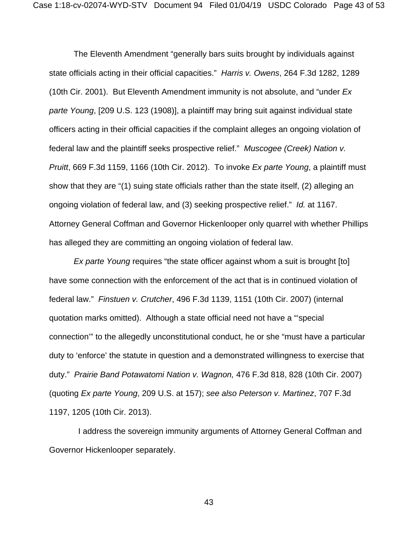The Eleventh Amendment "generally bars suits brought by individuals against state officials acting in their official capacities." *Harris v. Owens*, 264 F.3d 1282, 1289 (10th Cir. 2001). But Eleventh Amendment immunity is not absolute, and "under *Ex parte Young*, [209 U.S. 123 (1908)], a plaintiff may bring suit against individual state officers acting in their official capacities if the complaint alleges an ongoing violation of federal law and the plaintiff seeks prospective relief." *Muscogee (Creek) Nation v. Pruitt*, 669 F.3d 1159, 1166 (10th Cir. 2012). To invoke *Ex parte Young*, a plaintiff must show that they are "(1) suing state officials rather than the state itself, (2) alleging an ongoing violation of federal law, and (3) seeking prospective relief." *Id.* at 1167. Attorney General Coffman and Governor Hickenlooper only quarrel with whether Phillips has alleged they are committing an ongoing violation of federal law.

*Ex parte Young* requires "the state officer against whom a suit is brought [to] have some connection with the enforcement of the act that is in continued violation of federal law." *Finstuen v. Crutcher*, 496 F.3d 1139, 1151 (10th Cir. 2007) (internal quotation marks omitted). Although a state official need not have a "'special connection'" to the allegedly unconstitutional conduct, he or she "must have a particular duty to 'enforce' the statute in question and a demonstrated willingness to exercise that duty." *Prairie Band Potawatomi Nation v. Wagnon,* 476 F.3d 818, 828 (10th Cir. 2007) (quoting *Ex parte Young*, 209 U.S. at 157); *see also Peterson v. Martinez*, 707 F.3d 1197, 1205 (10th Cir. 2013).

 I address the sovereign immunity arguments of Attorney General Coffman and Governor Hickenlooper separately.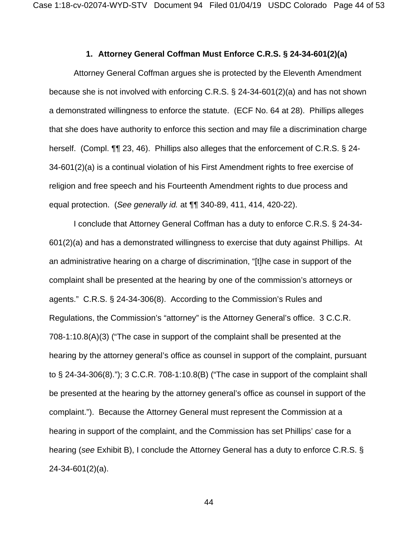#### **1. Attorney General Coffman Must Enforce C.R.S. § 24-34-601(2)(a)**

Attorney General Coffman argues she is protected by the Eleventh Amendment because she is not involved with enforcing C.R.S. § 24-34-601(2)(a) and has not shown a demonstrated willingness to enforce the statute. (ECF No. 64 at 28). Phillips alleges that she does have authority to enforce this section and may file a discrimination charge herself. (Compl. ¶¶ 23, 46). Phillips also alleges that the enforcement of C.R.S. § 24- 34-601(2)(a) is a continual violation of his First Amendment rights to free exercise of religion and free speech and his Fourteenth Amendment rights to due process and equal protection. (*See generally id.* at ¶¶ 340-89, 411, 414, 420-22).

I conclude that Attorney General Coffman has a duty to enforce C.R.S. § 24-34- 601(2)(a) and has a demonstrated willingness to exercise that duty against Phillips. At an administrative hearing on a charge of discrimination, "[t]he case in support of the complaint shall be presented at the hearing by one of the commission's attorneys or agents." C.R.S. § 24-34-306(8). According to the Commission's Rules and Regulations, the Commission's "attorney" is the Attorney General's office. 3 C.C.R. 708-1:10.8(A)(3) ("The case in support of the complaint shall be presented at the hearing by the attorney general's office as counsel in support of the complaint, pursuant to § 24-34-306(8)."); 3 C.C.R. 708-1:10.8(B) ("The case in support of the complaint shall be presented at the hearing by the attorney general's office as counsel in support of the complaint."). Because the Attorney General must represent the Commission at a hearing in support of the complaint, and the Commission has set Phillips' case for a hearing (*see* Exhibit B), I conclude the Attorney General has a duty to enforce C.R.S. § 24-34-601(2)(a).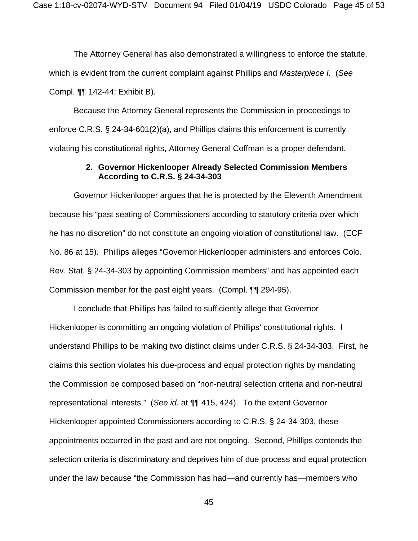The Attorney General has also demonstrated a willingness to enforce the statute, which is evident from the current complaint against Phillips and *Masterpiece I.* (*See*  Compl. ¶¶ 142-44; Exhibit B).

Because the Attorney General represents the Commission in proceedings to enforce C.R.S. § 24-34-601(2)(a), and Phillips claims this enforcement is currently violating his constitutional rights, Attorney General Coffman is a proper defendant.

## **2. Governor Hickenlooper Already Selected Commission Members According to C.R.S. § 24-34-303**

Governor Hickenlooper argues that he is protected by the Eleventh Amendment because his "past seating of Commissioners according to statutory criteria over which he has no discretion" do not constitute an ongoing violation of constitutional law. (ECF No. 86 at 15). Phillips alleges "Governor Hickenlooper administers and enforces Colo. Rev. Stat. § 24-34-303 by appointing Commission members" and has appointed each Commission member for the past eight years. (Compl. ¶¶ 294-95).

I conclude that Phillips has failed to sufficiently allege that Governor Hickenlooper is committing an ongoing violation of Phillips' constitutional rights. I understand Phillips to be making two distinct claims under C.R.S. § 24-34-303. First, he claims this section violates his due-process and equal protection rights by mandating the Commission be composed based on "non-neutral selection criteria and non-neutral representational interests." (*See id.* at ¶¶ 415, 424). To the extent Governor Hickenlooper appointed Commissioners according to C.R.S. § 24-34-303, these appointments occurred in the past and are not ongoing. Second, Phillips contends the selection criteria is discriminatory and deprives him of due process and equal protection under the law because "the Commission has had—and currently has—members who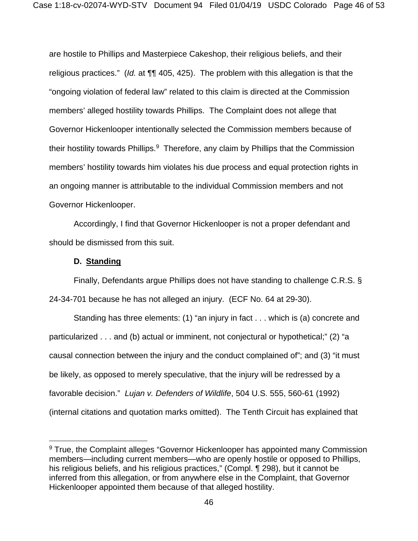are hostile to Phillips and Masterpiece Cakeshop, their religious beliefs, and their religious practices." (*Id.* at ¶¶ 405, 425). The problem with this allegation is that the "ongoing violation of federal law" related to this claim is directed at the Commission members' alleged hostility towards Phillips. The Complaint does not allege that Governor Hickenlooper intentionally selected the Commission members because of their hostility towards Phillips.<sup>9</sup> Therefore, any claim by Phillips that the Commission members' hostility towards him violates his due process and equal protection rights in an ongoing manner is attributable to the individual Commission members and not Governor Hickenlooper.

Accordingly, I find that Governor Hickenlooper is not a proper defendant and should be dismissed from this suit.

## **D. Standing**

1

Finally, Defendants argue Phillips does not have standing to challenge C.R.S. § 24-34-701 because he has not alleged an injury. (ECF No. 64 at 29-30).

Standing has three elements: (1) "an injury in fact . . . which is (a) concrete and particularized . . . and (b) actual or imminent, not conjectural or hypothetical;" (2) "a causal connection between the injury and the conduct complained of"; and (3) "it must be likely, as opposed to merely speculative, that the injury will be redressed by a favorable decision." *Lujan v. Defenders of Wildlife*, 504 U.S. 555, 560-61 (1992) (internal citations and quotation marks omitted). The Tenth Circuit has explained that

<sup>&</sup>lt;sup>9</sup> True, the Complaint alleges "Governor Hickenlooper has appointed many Commission members—including current members—who are openly hostile or opposed to Phillips, his religious beliefs, and his religious practices," (Compl. ¶ 298), but it cannot be inferred from this allegation, or from anywhere else in the Complaint, that Governor Hickenlooper appointed them because of that alleged hostility.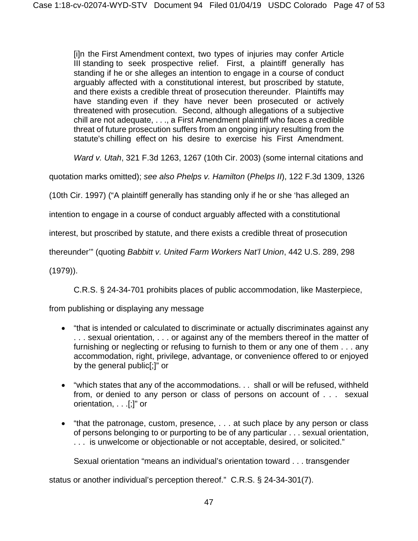[i]n the First Amendment context, two types of injuries may confer Article III standing to seek prospective relief. First, a plaintiff generally has standing if he or she alleges an intention to engage in a course of conduct arguably affected with a constitutional interest, but proscribed by statute, and there exists a credible threat of prosecution thereunder. Plaintiffs may have standing even if they have never been prosecuted or actively threatened with prosecution. Second, although allegations of a subjective chill are not adequate, . . ., a First Amendment plaintiff who faces a credible threat of future prosecution suffers from an ongoing injury resulting from the statute's chilling effect on his desire to exercise his First Amendment.

*Ward v. Utah*, 321 F.3d 1263, 1267 (10th Cir. 2003) (some internal citations and

quotation marks omitted); *see also Phelps v. Hamilton* (*Phelps II*), 122 F.3d 1309, 1326

(10th Cir. 1997) ("A plaintiff generally has standing only if he or she 'has alleged an

intention to engage in a course of conduct arguably affected with a constitutional

interest, but proscribed by statute, and there exists a credible threat of prosecution

thereunder'" (quoting *Babbitt v. United Farm Workers Nat'l Union*, 442 U.S. 289, 298

(1979)).

C.R.S. § 24-34-701 prohibits places of public accommodation, like Masterpiece,

from publishing or displaying any message

- "that is intended or calculated to discriminate or actually discriminates against any . . . sexual orientation, . . . or against any of the members thereof in the matter of furnishing or neglecting or refusing to furnish to them or any one of them . . . any accommodation, right, privilege, advantage, or convenience offered to or enjoyed by the general public[;]" or
- "which states that any of the accommodations. . . shall or will be refused, withheld from, or denied to any person or class of persons on account of . . . sexual orientation, . . .[;]" or
- "that the patronage, custom, presence, ... at such place by any person or class of persons belonging to or purporting to be of any particular . . . sexual orientation, . . . is unwelcome or objectionable or not acceptable, desired, or solicited."

Sexual orientation "means an individual's orientation toward . . . transgender

status or another individual's perception thereof." C.R.S. § 24-34-301(7).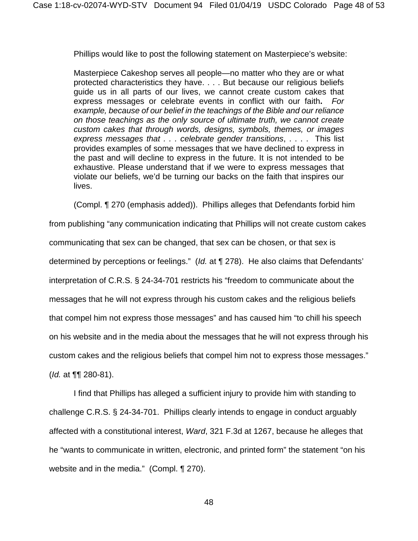Phillips would like to post the following statement on Masterpiece's website:

Masterpiece Cakeshop serves all people—no matter who they are or what protected characteristics they have. . . . But because our religious beliefs guide us in all parts of our lives, we cannot create custom cakes that express messages or celebrate events in conflict with our faith**.** *For example, because of our belief in the teachings of the Bible and our reliance on those teachings as the only source of ultimate truth, we cannot create custom cakes that through words, designs, symbols, themes, or images express messages that . . . celebrate gender transitions*, . . . . This list provides examples of some messages that we have declined to express in the past and will decline to express in the future. It is not intended to be exhaustive. Please understand that if we were to express messages that violate our beliefs, we'd be turning our backs on the faith that inspires our lives.

(Compl. ¶ 270 (emphasis added)). Phillips alleges that Defendants forbid him

from publishing "any communication indicating that Phillips will not create custom cakes

communicating that sex can be changed, that sex can be chosen, or that sex is

determined by perceptions or feelings." (*Id.* at ¶ 278). He also claims that Defendants'

interpretation of C.R.S. § 24-34-701 restricts his "freedom to communicate about the

messages that he will not express through his custom cakes and the religious beliefs

that compel him not express those messages" and has caused him "to chill his speech

on his website and in the media about the messages that he will not express through his

custom cakes and the religious beliefs that compel him not to express those messages."

(*Id.* at ¶¶ 280-81).

I find that Phillips has alleged a sufficient injury to provide him with standing to challenge C.R.S. § 24-34-701. Phillips clearly intends to engage in conduct arguably affected with a constitutional interest, *Ward*, 321 F.3d at 1267, because he alleges that he "wants to communicate in written, electronic, and printed form" the statement "on his website and in the media." (Compl. ¶ 270).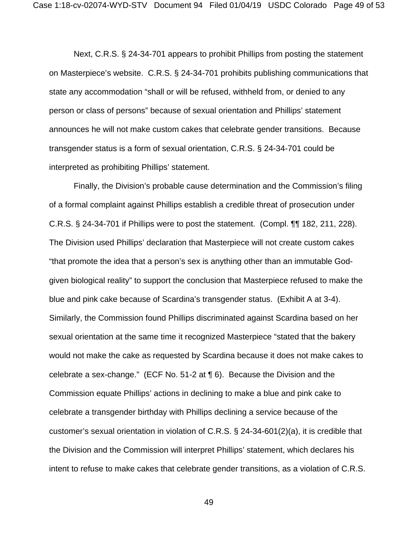Next, C.R.S. § 24-34-701 appears to prohibit Phillips from posting the statement on Masterpiece's website. C.R.S. § 24-34-701 prohibits publishing communications that state any accommodation "shall or will be refused, withheld from, or denied to any person or class of persons" because of sexual orientation and Phillips' statement announces he will not make custom cakes that celebrate gender transitions. Because transgender status is a form of sexual orientation, C.R.S. § 24-34-701 could be interpreted as prohibiting Phillips' statement.

Finally, the Division's probable cause determination and the Commission's filing of a formal complaint against Phillips establish a credible threat of prosecution under C.R.S. § 24-34-701 if Phillips were to post the statement. (Compl. ¶¶ 182, 211, 228). The Division used Phillips' declaration that Masterpiece will not create custom cakes "that promote the idea that a person's sex is anything other than an immutable Godgiven biological reality" to support the conclusion that Masterpiece refused to make the blue and pink cake because of Scardina's transgender status. (Exhibit A at 3-4). Similarly, the Commission found Phillips discriminated against Scardina based on her sexual orientation at the same time it recognized Masterpiece "stated that the bakery would not make the cake as requested by Scardina because it does not make cakes to celebrate a sex-change." (ECF No. 51-2 at ¶ 6). Because the Division and the Commission equate Phillips' actions in declining to make a blue and pink cake to celebrate a transgender birthday with Phillips declining a service because of the customer's sexual orientation in violation of C.R.S. § 24-34-601(2)(a), it is credible that the Division and the Commission will interpret Phillips' statement, which declares his intent to refuse to make cakes that celebrate gender transitions, as a violation of C.R.S.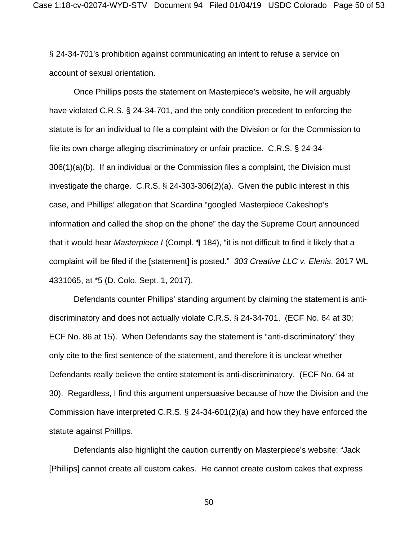§ 24-34-701's prohibition against communicating an intent to refuse a service on account of sexual orientation.

Once Phillips posts the statement on Masterpiece's website, he will arguably have violated C.R.S. § 24-34-701, and the only condition precedent to enforcing the statute is for an individual to file a complaint with the Division or for the Commission to file its own charge alleging discriminatory or unfair practice. C.R.S. § 24-34- 306(1)(a)(b). If an individual or the Commission files a complaint, the Division must investigate the charge. C.R.S. § 24-303-306(2)(a). Given the public interest in this case, and Phillips' allegation that Scardina "googled Masterpiece Cakeshop's information and called the shop on the phone" the day the Supreme Court announced that it would hear *Masterpiece I* (Compl. ¶ 184), "it is not difficult to find it likely that a complaint will be filed if the [statement] is posted." *303 Creative LLC v. Elenis*, 2017 WL 4331065, at \*5 (D. Colo. Sept. 1, 2017).

Defendants counter Phillips' standing argument by claiming the statement is antidiscriminatory and does not actually violate C.R.S. § 24-34-701. (ECF No. 64 at 30; ECF No. 86 at 15). When Defendants say the statement is "anti-discriminatory" they only cite to the first sentence of the statement, and therefore it is unclear whether Defendants really believe the entire statement is anti-discriminatory. (ECF No. 64 at 30). Regardless, I find this argument unpersuasive because of how the Division and the Commission have interpreted C.R.S. § 24-34-601(2)(a) and how they have enforced the statute against Phillips.

Defendants also highlight the caution currently on Masterpiece's website: "Jack [Phillips] cannot create all custom cakes. He cannot create custom cakes that express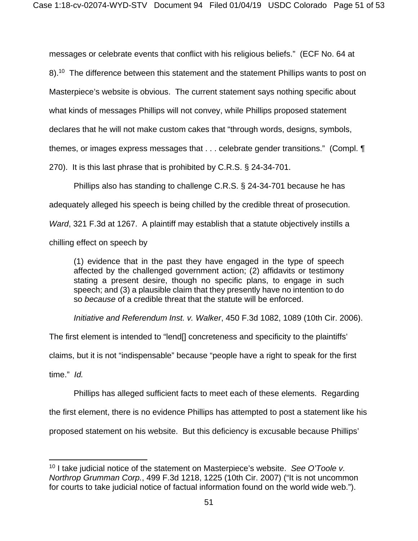messages or celebrate events that conflict with his religious beliefs." (ECF No. 64 at

8).<sup>10</sup> The difference between this statement and the statement Phillips wants to post on

Masterpiece's website is obvious. The current statement says nothing specific about

what kinds of messages Phillips will not convey, while Phillips proposed statement

declares that he will not make custom cakes that "through words, designs, symbols,

themes, or images express messages that . . . celebrate gender transitions." (Compl. ¶

270). It is this last phrase that is prohibited by C.R.S. § 24-34-701.

Phillips also has standing to challenge C.R.S. § 24-34-701 because he has adequately alleged his speech is being chilled by the credible threat of prosecution. *Ward*, 321 F.3d at 1267. A plaintiff may establish that a statute objectively instills a chilling effect on speech by

(1) evidence that in the past they have engaged in the type of speech affected by the challenged government action; (2) affidavits or testimony stating a present desire, though no specific plans, to engage in such speech; and (3) a plausible claim that they presently have no intention to do so *because* of a credible threat that the statute will be enforced.

*Initiative and Referendum Inst. v. Walker*, 450 F.3d 1082, 1089 (10th Cir. 2006).

The first element is intended to "lend[] concreteness and specificity to the plaintiffs'

claims, but it is not "indispensable" because "people have a right to speak for the first

time." *Id.*

 $\overline{a}$ 

Phillips has alleged sufficient facts to meet each of these elements. Regarding

the first element, there is no evidence Phillips has attempted to post a statement like his

proposed statement on his website. But this deficiency is excusable because Phillips'

<sup>10</sup> I take judicial notice of the statement on Masterpiece's website. *See O'Toole v. Northrop Grumman Corp.*, 499 F.3d 1218, 1225 (10th Cir. 2007) ("It is not uncommon for courts to take judicial notice of factual information found on the world wide web.").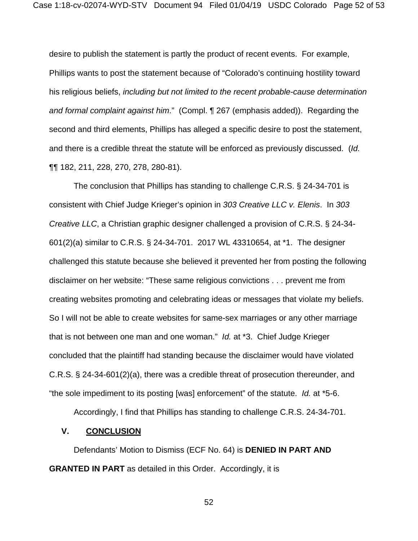desire to publish the statement is partly the product of recent events. For example, Phillips wants to post the statement because of "Colorado's continuing hostility toward his religious beliefs, *including but not limited to the recent probable-cause determination and formal complaint against him*." (Compl. ¶ 267 (emphasis added)). Regarding the second and third elements, Phillips has alleged a specific desire to post the statement, and there is a credible threat the statute will be enforced as previously discussed. (*Id.* ¶¶ 182, 211, 228, 270, 278, 280-81).

The conclusion that Phillips has standing to challenge C.R.S. § 24-34-701 is consistent with Chief Judge Krieger's opinion in *303 Creative LLC v. Elenis*. In *303 Creative LLC*, a Christian graphic designer challenged a provision of C.R.S. § 24-34- 601(2)(a) similar to C.R.S. § 24-34-701. 2017 WL 43310654, at \*1. The designer challenged this statute because she believed it prevented her from posting the following disclaimer on her website: "These same religious convictions . . . prevent me from creating websites promoting and celebrating ideas or messages that violate my beliefs. So I will not be able to create websites for same-sex marriages or any other marriage that is not between one man and one woman." *Id.* at \*3. Chief Judge Krieger concluded that the plaintiff had standing because the disclaimer would have violated C.R.S. § 24-34-601(2)(a), there was a credible threat of prosecution thereunder, and "the sole impediment to its posting [was] enforcement" of the statute. *Id.* at \*5-6.

Accordingly, I find that Phillips has standing to challenge C.R.S. 24-34-701.

## **V. CONCLUSION**

Defendants' Motion to Dismiss (ECF No. 64) is **DENIED IN PART AND GRANTED IN PART** as detailed in this Order. Accordingly, it is